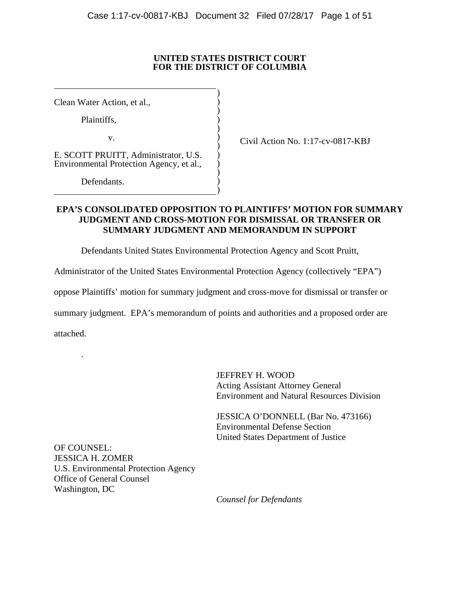### **UNITED STATES DISTRICT COURT FOR THE DISTRICT OF COLUMBIA**

)  $\overline{)}$  $\overline{)}$  $\overline{)}$  $\overline{)}$  $\overline{)}$  $\overline{)}$  $\overline{)}$  $\overline{)}$  $\overline{)}$  $\overline{)}$ )

Clean Water Action, et al.,

 $\overline{a}$ 

 $\overline{a}$ 

Plaintiffs,

v.

E. SCOTT PRUITT, Administrator, U.S. Environmental Protection Agency, et al.,

Defendants.

Civil Action No. 1:17-cv-0817-KBJ

# **EPA'S CONSOLIDATED OPPOSITION TO PLAINTIFFS' MOTION FOR SUMMARY JUDGMENT AND CROSS-MOTION FOR DISMISSAL OR TRANSFER OR SUMMARY JUDGMENT AND MEMORANDUM IN SUPPORT**

Defendants United States Environmental Protection Agency and Scott Pruitt,

Administrator of the United States Environmental Protection Agency (collectively "EPA")

oppose Plaintiffs' motion for summary judgment and cross-move for dismissal or transfer or

summary judgment. EPA's memorandum of points and authorities and a proposed order are

attached.

.

JEFFREY H. WOOD Acting Assistant Attorney General Environment and Natural Resources Division

 JESSICA O'DONNELL (Bar No. 473166) Environmental Defense Section United States Department of Justice

OF COUNSEL: JESSICA H. ZOMER U.S. Environmental Protection Agency Office of General Counsel Washington, DC

*Counsel for Defendants*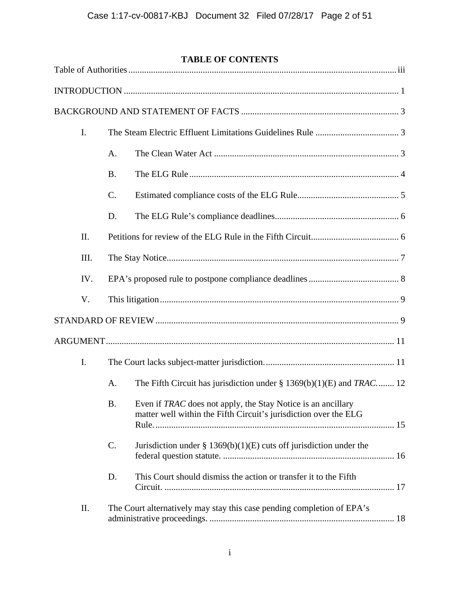# **TABLE OF CONTENTS**

| I.   |           |                                                                                                                                  |  |  |
|------|-----------|----------------------------------------------------------------------------------------------------------------------------------|--|--|
|      | A.        |                                                                                                                                  |  |  |
|      | <b>B.</b> |                                                                                                                                  |  |  |
|      | C.        |                                                                                                                                  |  |  |
|      | D.        |                                                                                                                                  |  |  |
| II.  |           |                                                                                                                                  |  |  |
| III. |           |                                                                                                                                  |  |  |
| IV.  |           |                                                                                                                                  |  |  |
| V.   |           |                                                                                                                                  |  |  |
|      |           |                                                                                                                                  |  |  |
|      |           |                                                                                                                                  |  |  |
| I.   |           |                                                                                                                                  |  |  |
|      | A.        | The Fifth Circuit has jurisdiction under $\S 1369(b)(1)(E)$ and TRAC 12                                                          |  |  |
|      | <b>B.</b> | Even if TRAC does not apply, the Stay Notice is an ancillary<br>matter well within the Fifth Circuit's jurisdiction over the ELG |  |  |
|      | C.        | Jurisdiction under $\S 1369(b)(1)(E)$ cuts off jurisdiction under the                                                            |  |  |
|      | D.        | This Court should dismiss the action or transfer it to the Fifth                                                                 |  |  |
| Π.   |           | The Court alternatively may stay this case pending completion of EPA's                                                           |  |  |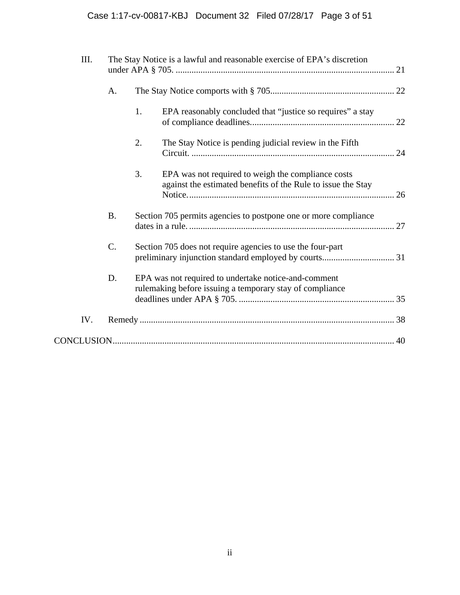| III. | The Stay Notice is a lawful and reasonable exercise of EPA's discretion |    |                                                                                                                    |  |
|------|-------------------------------------------------------------------------|----|--------------------------------------------------------------------------------------------------------------------|--|
|      | A.                                                                      |    |                                                                                                                    |  |
|      |                                                                         | 1. | EPA reasonably concluded that "justice so requires" a stay                                                         |  |
|      |                                                                         | 2. | The Stay Notice is pending judicial review in the Fifth                                                            |  |
|      |                                                                         | 3. | EPA was not required to weigh the compliance costs<br>against the estimated benefits of the Rule to issue the Stay |  |
|      | <b>B.</b>                                                               |    | Section 705 permits agencies to postpone one or more compliance                                                    |  |
|      | C.                                                                      |    | Section 705 does not require agencies to use the four-part                                                         |  |
|      | D.                                                                      |    | EPA was not required to undertake notice-and-comment<br>rulemaking before issuing a temporary stay of compliance   |  |
| IV.  |                                                                         |    |                                                                                                                    |  |
|      |                                                                         |    |                                                                                                                    |  |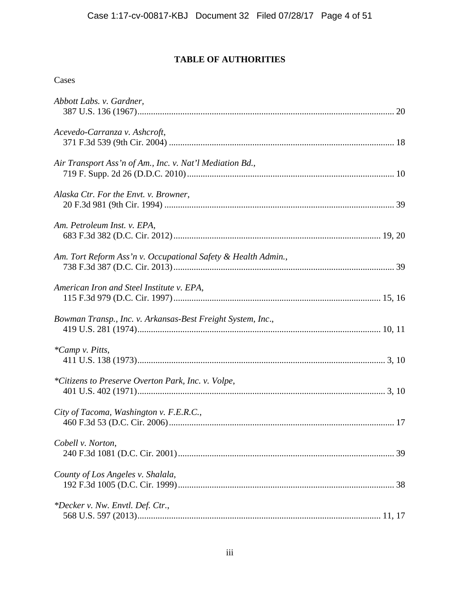# **TABLE OF AUTHORITIES**

| Cases                                                         |  |
|---------------------------------------------------------------|--|
| Abbott Labs. v. Gardner,                                      |  |
| Acevedo-Carranza v. Ashcroft,                                 |  |
| Air Transport Ass'n of Am., Inc. v. Nat'l Mediation Bd.,      |  |
| Alaska Ctr. For the Envt. v. Browner,                         |  |
| Am. Petroleum Inst. v. EPA,                                   |  |
| Am. Tort Reform Ass'n v. Occupational Safety & Health Admin., |  |
| American Iron and Steel Institute v. EPA,                     |  |
| Bowman Transp., Inc. v. Arkansas-Best Freight System, Inc.,   |  |
| *Camp v. Pitts,                                               |  |
| *Citizens to Preserve Overton Park, Inc. v. Volpe,            |  |
| City of Tacoma, Washington v. F.E.R.C.,                       |  |
| Cobell v. Norton,                                             |  |
| County of Los Angeles v. Shalala,                             |  |
| *Decker v. Nw. Envtl. Def. Ctr.,                              |  |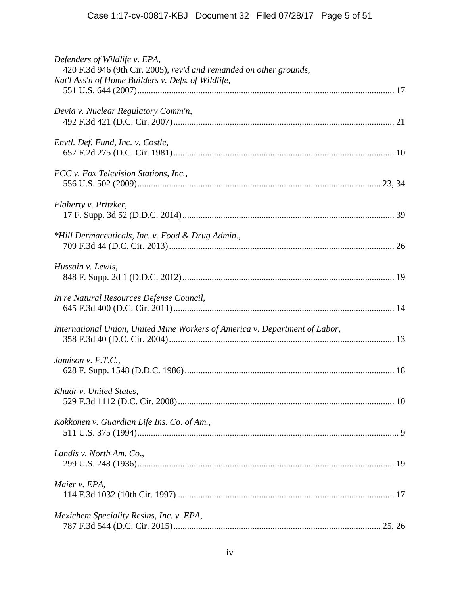| Defenders of Wildlife v. EPA,<br>420 F.3d 946 (9th Cir. 2005), rev'd and remanded on other grounds, |
|-----------------------------------------------------------------------------------------------------|
| Nat'l Ass'n of Home Builders v. Defs. of Wildlife,                                                  |
| Devia v. Nuclear Regulatory Comm'n,                                                                 |
| Envtl. Def. Fund, Inc. v. Costle,                                                                   |
| FCC v. Fox Television Stations, Inc.,                                                               |
| Flaherty v. Pritzker,                                                                               |
| *Hill Dermaceuticals, Inc. v. Food & Drug Admin.,                                                   |
| Hussain v. Lewis,                                                                                   |
| In re Natural Resources Defense Council,                                                            |
| International Union, United Mine Workers of America v. Department of Labor,                         |
| Jamison v. F.T.C.,                                                                                  |
| Khadr v. United States,                                                                             |
| Kokkonen v. Guardian Life Ins. Co. of Am.,                                                          |
| Landis v. North Am. Co.,                                                                            |
| Maier v. EPA,                                                                                       |
| Mexichem Speciality Resins, Inc. v. EPA,                                                            |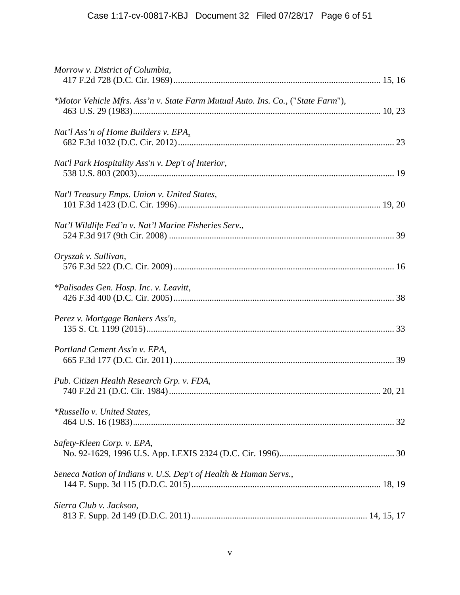| Morrow v. District of Columbia,                                                 |  |
|---------------------------------------------------------------------------------|--|
| *Motor Vehicle Mfrs. Ass'n v. State Farm Mutual Auto. Ins. Co., ("State Farm"), |  |
| Nat'l Ass'n of Home Builders v. EPA,                                            |  |
| Nat'l Park Hospitality Ass'n v. Dep't of Interior,                              |  |
| Nat'l Treasury Emps. Union v. United States,                                    |  |
| Nat'l Wildlife Fed'n v. Nat'l Marine Fisheries Serv.,                           |  |
| Oryszak v. Sullivan,                                                            |  |
| <i>*Palisades Gen. Hosp. Inc. v. Leavitt,</i>                                   |  |
| Perez v. Mortgage Bankers Ass'n,                                                |  |
| Portland Cement Ass'n v. EPA,                                                   |  |
| Pub. Citizen Health Research Grp. v. FDA,                                       |  |
| <i>*Russello v. United States,</i>                                              |  |
| Safety-Kleen Corp. v. EPA,                                                      |  |
| Seneca Nation of Indians v. U.S. Dep't of Health & Human Servs.,                |  |
| Sierra Club v. Jackson,                                                         |  |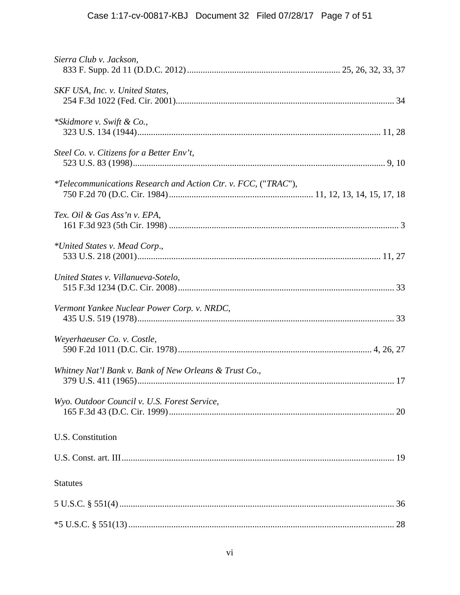| Sierra Club v. Jackson,                                               |  |
|-----------------------------------------------------------------------|--|
| SKF USA, Inc. v. United States,                                       |  |
| *Skidmore v. Swift & Co.,                                             |  |
| Steel Co. v. Citizens for a Better Env't,                             |  |
| <i>*Telecommunications Research and Action Ctr. v. FCC, ("TRAC"),</i> |  |
| Tex. Oil & Gas Ass'n v. EPA,                                          |  |
| *United States v. Mead Corp.,                                         |  |
| United States v. Villanueva-Sotelo,                                   |  |
| Vermont Yankee Nuclear Power Corp. v. NRDC,                           |  |
| Weyerhaeuser Co. v. Costle,                                           |  |
| Whitney Nat'l Bank v. Bank of New Orleans & Trust Co.,                |  |
| Wyo. Outdoor Council v. U.S. Forest Service,                          |  |
| U.S. Constitution                                                     |  |
|                                                                       |  |
| <b>Statutes</b>                                                       |  |
|                                                                       |  |
|                                                                       |  |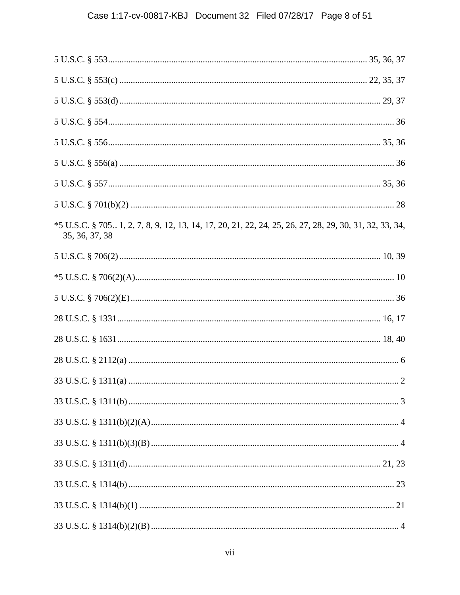| *5 U.S.C. § 7051, 2, 7, 8, 9, 12, 13, 14, 17, 20, 21, 22, 24, 25, 26, 27, 28, 29, 30, 31, 32, 33, 34,<br>35, 36, 37, 38 |  |
|-------------------------------------------------------------------------------------------------------------------------|--|
|                                                                                                                         |  |
|                                                                                                                         |  |
|                                                                                                                         |  |
|                                                                                                                         |  |
|                                                                                                                         |  |
|                                                                                                                         |  |
|                                                                                                                         |  |
|                                                                                                                         |  |
|                                                                                                                         |  |
|                                                                                                                         |  |
|                                                                                                                         |  |
|                                                                                                                         |  |
|                                                                                                                         |  |
|                                                                                                                         |  |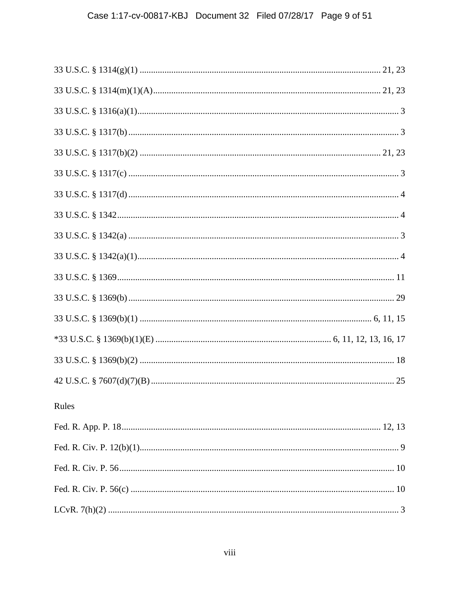| Rules |  |
|-------|--|
|       |  |
|       |  |
|       |  |
|       |  |
|       |  |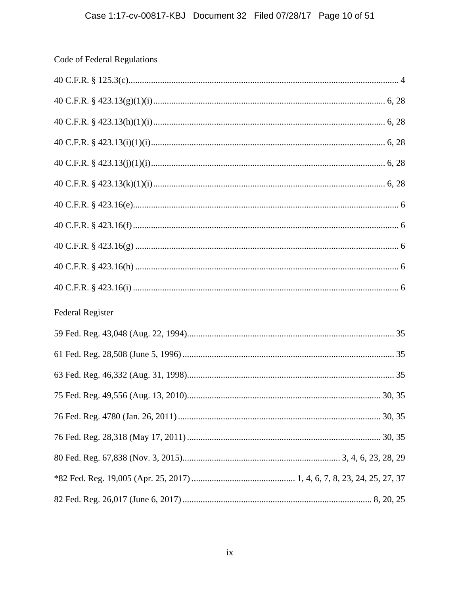| Code of Federal Regulations |
|-----------------------------|
|                             |
|                             |
|                             |
|                             |
|                             |
|                             |
|                             |
|                             |
|                             |
|                             |
|                             |
| <b>Federal Register</b>     |
|                             |
|                             |
|                             |
|                             |
|                             |
|                             |
|                             |
|                             |
|                             |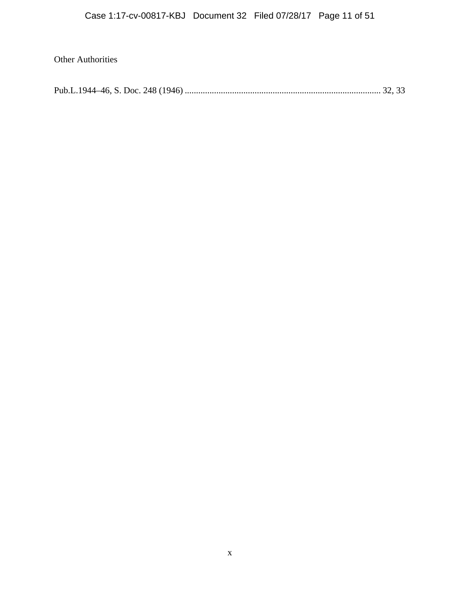# Other Authorities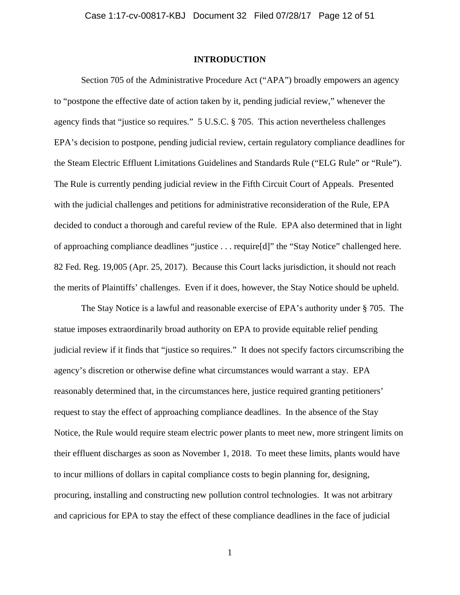#### **INTRODUCTION**

Section 705 of the Administrative Procedure Act ("APA") broadly empowers an agency to "postpone the effective date of action taken by it, pending judicial review," whenever the agency finds that "justice so requires." 5 U.S.C. § 705. This action nevertheless challenges EPA's decision to postpone, pending judicial review, certain regulatory compliance deadlines for the Steam Electric Effluent Limitations Guidelines and Standards Rule ("ELG Rule" or "Rule"). The Rule is currently pending judicial review in the Fifth Circuit Court of Appeals. Presented with the judicial challenges and petitions for administrative reconsideration of the Rule, EPA decided to conduct a thorough and careful review of the Rule. EPA also determined that in light of approaching compliance deadlines "justice . . . require[d]" the "Stay Notice" challenged here. 82 Fed. Reg. 19,005 (Apr. 25, 2017). Because this Court lacks jurisdiction, it should not reach the merits of Plaintiffs' challenges. Even if it does, however, the Stay Notice should be upheld.

The Stay Notice is a lawful and reasonable exercise of EPA's authority under § 705. The statue imposes extraordinarily broad authority on EPA to provide equitable relief pending judicial review if it finds that "justice so requires." It does not specify factors circumscribing the agency's discretion or otherwise define what circumstances would warrant a stay. EPA reasonably determined that, in the circumstances here, justice required granting petitioners' request to stay the effect of approaching compliance deadlines. In the absence of the Stay Notice, the Rule would require steam electric power plants to meet new, more stringent limits on their effluent discharges as soon as November 1, 2018. To meet these limits, plants would have to incur millions of dollars in capital compliance costs to begin planning for, designing, procuring, installing and constructing new pollution control technologies. It was not arbitrary and capricious for EPA to stay the effect of these compliance deadlines in the face of judicial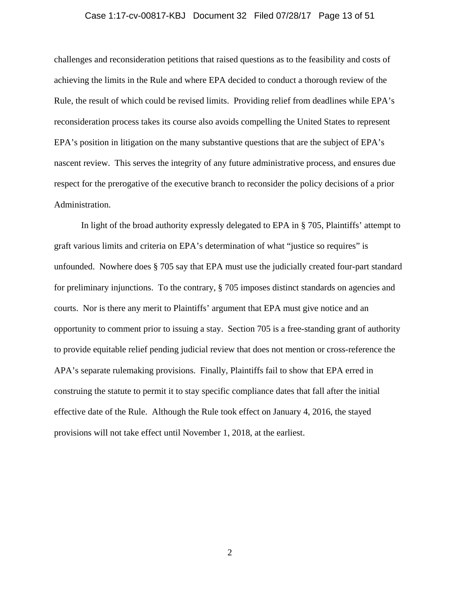#### Case 1:17-cv-00817-KBJ Document 32 Filed 07/28/17 Page 13 of 51

challenges and reconsideration petitions that raised questions as to the feasibility and costs of achieving the limits in the Rule and where EPA decided to conduct a thorough review of the Rule, the result of which could be revised limits. Providing relief from deadlines while EPA's reconsideration process takes its course also avoids compelling the United States to represent EPA's position in litigation on the many substantive questions that are the subject of EPA's nascent review. This serves the integrity of any future administrative process, and ensures due respect for the prerogative of the executive branch to reconsider the policy decisions of a prior Administration.

In light of the broad authority expressly delegated to EPA in § 705, Plaintiffs' attempt to graft various limits and criteria on EPA's determination of what "justice so requires" is unfounded. Nowhere does § 705 say that EPA must use the judicially created four-part standard for preliminary injunctions. To the contrary, § 705 imposes distinct standards on agencies and courts. Nor is there any merit to Plaintiffs' argument that EPA must give notice and an opportunity to comment prior to issuing a stay. Section 705 is a free-standing grant of authority to provide equitable relief pending judicial review that does not mention or cross-reference the APA's separate rulemaking provisions. Finally, Plaintiffs fail to show that EPA erred in construing the statute to permit it to stay specific compliance dates that fall after the initial effective date of the Rule. Although the Rule took effect on January 4, 2016, the stayed provisions will not take effect until November 1, 2018, at the earliest.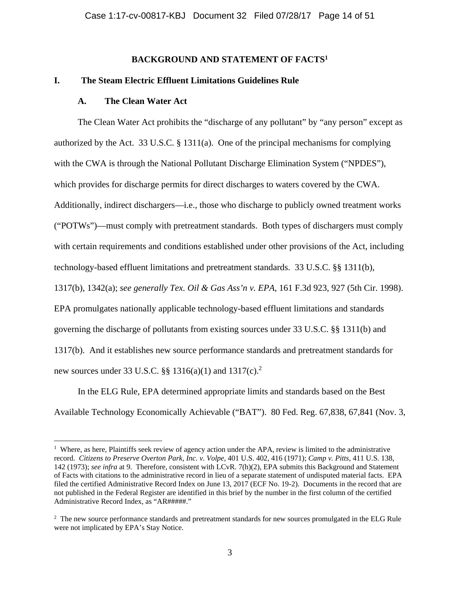### **BACKGROUND AND STATEMENT OF FACTS1**

#### **I. The Steam Electric Effluent Limitations Guidelines Rule**

#### **A. The Clean Water Act**

The Clean Water Act prohibits the "discharge of any pollutant" by "any person" except as authorized by the Act. 33 U.S.C. § 1311(a). One of the principal mechanisms for complying with the CWA is through the National Pollutant Discharge Elimination System ("NPDES"), which provides for discharge permits for direct discharges to waters covered by the CWA. Additionally, indirect dischargers—i.e., those who discharge to publicly owned treatment works ("POTWs")—must comply with pretreatment standards. Both types of dischargers must comply with certain requirements and conditions established under other provisions of the Act, including technology-based effluent limitations and pretreatment standards. 33 U.S.C. §§ 1311(b), 1317(b), 1342(a); *see generally Tex. Oil & Gas Ass'n v. EPA*, 161 F.3d 923, 927 (5th Cir. 1998). EPA promulgates nationally applicable technology-based effluent limitations and standards governing the discharge of pollutants from existing sources under 33 U.S.C. §§ 1311(b) and 1317(b). And it establishes new source performance standards and pretreatment standards for

new sources under 33 U.S.C.  $\S$  1316(a)(1) and 1317(c).<sup>2</sup>

1

In the ELG Rule, EPA determined appropriate limits and standards based on the Best Available Technology Economically Achievable ("BAT"). 80 Fed. Reg. 67,838, 67,841 (Nov. 3,

 $1$  Where, as here, Plaintiffs seek review of agency action under the APA, review is limited to the administrative record. *Citizens to Preserve Overton Park, Inc. v. Volpe*, 401 U.S. 402, 416 (1971); *Camp v. Pitts*, 411 U.S. 138, 142 (1973); *see infra* at 9. Therefore, consistent with LCvR. 7(h)(2), EPA submits this Background and Statement of Facts with citations to the administrative record in lieu of a separate statement of undisputed material facts. EPA filed the certified Administrative Record Index on June 13, 2017 (ECF No. 19-2). Documents in the record that are not published in the Federal Register are identified in this brief by the number in the first column of the certified Administrative Record Index, as "AR#####."

<sup>&</sup>lt;sup>2</sup> The new source performance standards and pretreatment standards for new sources promulgated in the ELG Rule were not implicated by EPA's Stay Notice.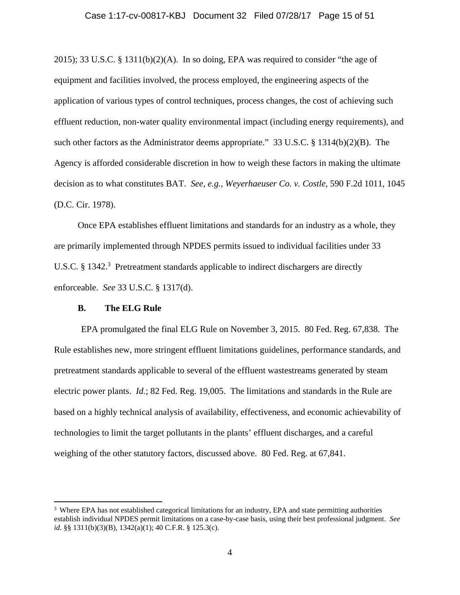#### Case 1:17-cv-00817-KBJ Document 32 Filed 07/28/17 Page 15 of 51

2015); 33 U.S.C. § 1311(b)(2)(A). In so doing, EPA was required to consider "the age of equipment and facilities involved, the process employed, the engineering aspects of the application of various types of control techniques, process changes, the cost of achieving such effluent reduction, non-water quality environmental impact (including energy requirements), and such other factors as the Administrator deems appropriate." 33 U.S.C. § 1314(b)(2)(B). The Agency is afforded considerable discretion in how to weigh these factors in making the ultimate decision as to what constitutes BAT. *See, e.g., Weyerhaeuser Co. v. Costle*, 590 F.2d 1011, 1045 (D.C. Cir. 1978).

Once EPA establishes effluent limitations and standards for an industry as a whole, they are primarily implemented through NPDES permits issued to individual facilities under 33 U.S.C.  $\S 1342$ .<sup>3</sup> Pretreatment standards applicable to indirect dischargers are directly enforceable. *See* 33 U.S.C. § 1317(d).

### **B. The ELG Rule**

1

EPA promulgated the final ELG Rule on November 3, 2015. 80 Fed. Reg. 67,838. The Rule establishes new, more stringent effluent limitations guidelines, performance standards, and pretreatment standards applicable to several of the effluent wastestreams generated by steam electric power plants. *Id.*; 82 Fed. Reg. 19,005. The limitations and standards in the Rule are based on a highly technical analysis of availability, effectiveness, and economic achievability of technologies to limit the target pollutants in the plants' effluent discharges, and a careful weighing of the other statutory factors, discussed above. 80 Fed. Reg. at 67,841.

<sup>3</sup> Where EPA has not established categorical limitations for an industry, EPA and state permitting authorities establish individual NPDES permit limitations on a case-by-case basis, using their best professional judgment. *See id.* §§ 1311(b)(3)(B), 1342(a)(1); 40 C.F.R. § 125.3(c).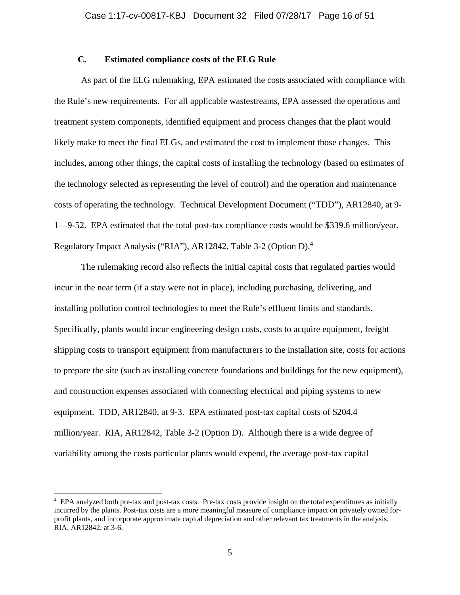# **C. Estimated compliance costs of the ELG Rule**

As part of the ELG rulemaking, EPA estimated the costs associated with compliance with the Rule's new requirements. For all applicable wastestreams, EPA assessed the operations and treatment system components, identified equipment and process changes that the plant would likely make to meet the final ELGs, and estimated the cost to implement those changes. This includes, among other things, the capital costs of installing the technology (based on estimates of the technology selected as representing the level of control) and the operation and maintenance costs of operating the technology. Technical Development Document ("TDD"), AR12840, at 9- 1—9-52. EPA estimated that the total post-tax compliance costs would be \$339.6 million/year. Regulatory Impact Analysis ("RIA"), AR12842, Table 3-2 (Option D).<sup>4</sup>

The rulemaking record also reflects the initial capital costs that regulated parties would incur in the near term (if a stay were not in place), including purchasing, delivering, and installing pollution control technologies to meet the Rule's effluent limits and standards. Specifically, plants would incur engineering design costs, costs to acquire equipment, freight shipping costs to transport equipment from manufacturers to the installation site, costs for actions to prepare the site (such as installing concrete foundations and buildings for the new equipment), and construction expenses associated with connecting electrical and piping systems to new equipment. TDD, AR12840, at 9-3. EPA estimated post-tax capital costs of \$204.4 million/year. RIA, AR12842, Table 3-2 (Option D). Although there is a wide degree of variability among the costs particular plants would expend, the average post-tax capital

<u>.</u>

<sup>4</sup> EPA analyzed both pre-tax and post-tax costs. Pre-tax costs provide insight on the total expenditures as initially incurred by the plants. Post-tax costs are a more meaningful measure of compliance impact on privately owned forprofit plants, and incorporate approximate capital depreciation and other relevant tax treatments in the analysis. RIA, AR12842, at 3-6.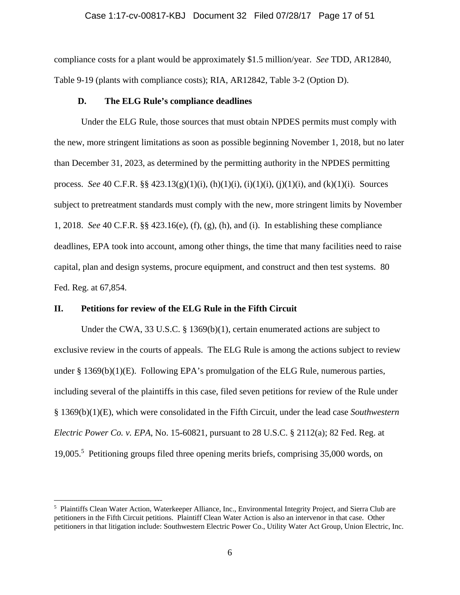#### Case 1:17-cv-00817-KBJ Document 32 Filed 07/28/17 Page 17 of 51

compliance costs for a plant would be approximately \$1.5 million/year. *See* TDD, AR12840, Table 9-19 (plants with compliance costs); RIA, AR12842, Table 3-2 (Option D).

#### **D. The ELG Rule's compliance deadlines**

Under the ELG Rule, those sources that must obtain NPDES permits must comply with the new, more stringent limitations as soon as possible beginning November 1, 2018, but no later than December 31, 2023, as determined by the permitting authority in the NPDES permitting process. *See* 40 C.F.R. §§ 423.13(g)(1)(i), (h)(1)(i), (i)(1)(i), (j)(1)(i), and (k)(1)(i). Sources subject to pretreatment standards must comply with the new, more stringent limits by November 1, 2018. *See* 40 C.F.R. §§ 423.16(e), (f), (g), (h), and (i). In establishing these compliance deadlines, EPA took into account, among other things, the time that many facilities need to raise capital, plan and design systems, procure equipment, and construct and then test systems. 80 Fed. Reg. at 67,854.

#### **II. Petitions for review of the ELG Rule in the Fifth Circuit**

 $\overline{a}$ 

Under the CWA, 33 U.S.C. § 1369(b)(1), certain enumerated actions are subject to exclusive review in the courts of appeals. The ELG Rule is among the actions subject to review under  $\S 1369(b)(1)(E)$ . Following EPA's promulgation of the ELG Rule, numerous parties, including several of the plaintiffs in this case, filed seven petitions for review of the Rule under § 1369(b)(1)(E), which were consolidated in the Fifth Circuit, under the lead case *Southwestern Electric Power Co. v. EPA*, No. 15-60821, pursuant to 28 U.S.C. § 2112(a); 82 Fed. Reg. at 19,005.5 Petitioning groups filed three opening merits briefs, comprising 35,000 words, on

<sup>5</sup> Plaintiffs Clean Water Action, Waterkeeper Alliance, Inc., Environmental Integrity Project, and Sierra Club are petitioners in the Fifth Circuit petitions. Plaintiff Clean Water Action is also an intervenor in that case. Other petitioners in that litigation include: Southwestern Electric Power Co., Utility Water Act Group, Union Electric, Inc.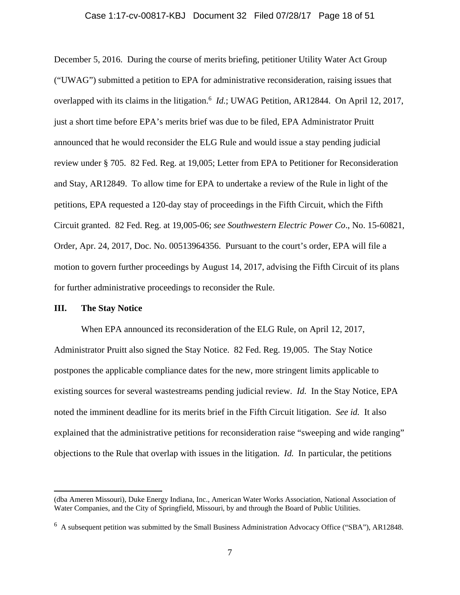#### Case 1:17-cv-00817-KBJ Document 32 Filed 07/28/17 Page 18 of 51

December 5, 2016. During the course of merits briefing, petitioner Utility Water Act Group ("UWAG") submitted a petition to EPA for administrative reconsideration, raising issues that overlapped with its claims in the litigation.<sup>6</sup> *Id.*; UWAG Petition, AR12844. On April 12, 2017, just a short time before EPA's merits brief was due to be filed, EPA Administrator Pruitt announced that he would reconsider the ELG Rule and would issue a stay pending judicial review under § 705. 82 Fed. Reg. at 19,005; Letter from EPA to Petitioner for Reconsideration and Stay, AR12849. To allow time for EPA to undertake a review of the Rule in light of the petitions, EPA requested a 120-day stay of proceedings in the Fifth Circuit, which the Fifth Circuit granted. 82 Fed. Reg. at 19,005-06; *see Southwestern Electric Power Co*., No. 15-60821, Order, Apr. 24, 2017, Doc. No. 00513964356. Pursuant to the court's order, EPA will file a motion to govern further proceedings by August 14, 2017, advising the Fifth Circuit of its plans for further administrative proceedings to reconsider the Rule.

### **III. The Stay Notice**

 $\overline{a}$ 

When EPA announced its reconsideration of the ELG Rule, on April 12, 2017, Administrator Pruitt also signed the Stay Notice. 82 Fed. Reg. 19,005. The Stay Notice postpones the applicable compliance dates for the new, more stringent limits applicable to existing sources for several wastestreams pending judicial review. *Id.* In the Stay Notice, EPA noted the imminent deadline for its merits brief in the Fifth Circuit litigation. *See id.* It also explained that the administrative petitions for reconsideration raise "sweeping and wide ranging" objections to the Rule that overlap with issues in the litigation. *Id.* In particular, the petitions

<sup>(</sup>dba Ameren Missouri), Duke Energy Indiana, Inc., American Water Works Association, National Association of Water Companies, and the City of Springfield, Missouri, by and through the Board of Public Utilities.

<sup>&</sup>lt;sup>6</sup> A subsequent petition was submitted by the Small Business Administration Advocacy Office ("SBA"), AR12848.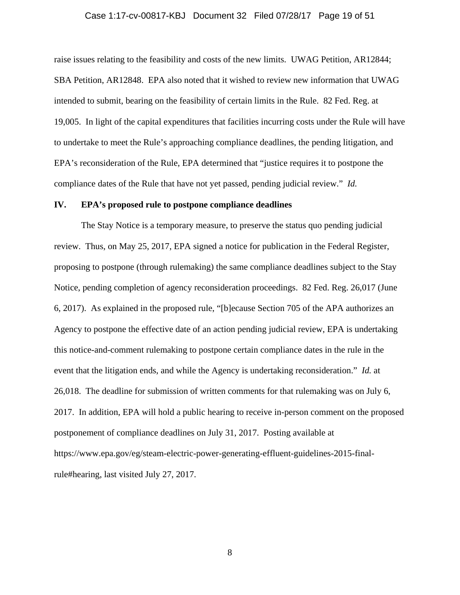#### Case 1:17-cv-00817-KBJ Document 32 Filed 07/28/17 Page 19 of 51

raise issues relating to the feasibility and costs of the new limits. UWAG Petition, AR12844; SBA Petition, AR12848. EPA also noted that it wished to review new information that UWAG intended to submit, bearing on the feasibility of certain limits in the Rule. 82 Fed. Reg. at 19,005. In light of the capital expenditures that facilities incurring costs under the Rule will have to undertake to meet the Rule's approaching compliance deadlines, the pending litigation, and EPA's reconsideration of the Rule, EPA determined that "justice requires it to postpone the compliance dates of the Rule that have not yet passed, pending judicial review." *Id.*

#### **IV. EPA's proposed rule to postpone compliance deadlines**

The Stay Notice is a temporary measure, to preserve the status quo pending judicial review. Thus, on May 25, 2017, EPA signed a notice for publication in the Federal Register, proposing to postpone (through rulemaking) the same compliance deadlines subject to the Stay Notice, pending completion of agency reconsideration proceedings. 82 Fed. Reg. 26,017 (June 6, 2017). As explained in the proposed rule, "[b]ecause Section 705 of the APA authorizes an Agency to postpone the effective date of an action pending judicial review, EPA is undertaking this notice-and-comment rulemaking to postpone certain compliance dates in the rule in the event that the litigation ends, and while the Agency is undertaking reconsideration." *Id.* at 26,018. The deadline for submission of written comments for that rulemaking was on July 6, 2017. In addition, EPA will hold a public hearing to receive in-person comment on the proposed postponement of compliance deadlines on July 31, 2017. Posting available at https://www.epa.gov/eg/steam-electric-power-generating-effluent-guidelines-2015-finalrule#hearing, last visited July 27, 2017.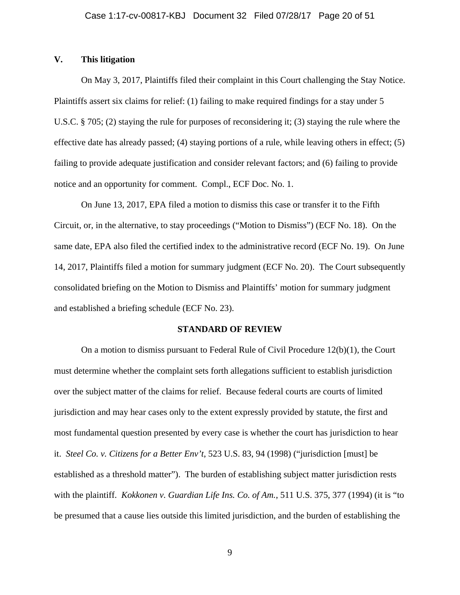### **V. This litigation**

On May 3, 2017, Plaintiffs filed their complaint in this Court challenging the Stay Notice. Plaintiffs assert six claims for relief: (1) failing to make required findings for a stay under 5 U.S.C. § 705; (2) staying the rule for purposes of reconsidering it; (3) staying the rule where the effective date has already passed; (4) staying portions of a rule, while leaving others in effect; (5) failing to provide adequate justification and consider relevant factors; and (6) failing to provide notice and an opportunity for comment. Compl., ECF Doc. No. 1.

On June 13, 2017, EPA filed a motion to dismiss this case or transfer it to the Fifth Circuit, or, in the alternative, to stay proceedings ("Motion to Dismiss") (ECF No. 18). On the same date, EPA also filed the certified index to the administrative record (ECF No. 19). On June 14, 2017, Plaintiffs filed a motion for summary judgment (ECF No. 20). The Court subsequently consolidated briefing on the Motion to Dismiss and Plaintiffs' motion for summary judgment and established a briefing schedule (ECF No. 23).

#### **STANDARD OF REVIEW**

On a motion to dismiss pursuant to Federal Rule of Civil Procedure 12(b)(1), the Court must determine whether the complaint sets forth allegations sufficient to establish jurisdiction over the subject matter of the claims for relief. Because federal courts are courts of limited jurisdiction and may hear cases only to the extent expressly provided by statute, the first and most fundamental question presented by every case is whether the court has jurisdiction to hear it. *Steel Co. v. Citizens for a Better Env't*, 523 U.S. 83, 94 (1998) ("jurisdiction [must] be established as a threshold matter"). The burden of establishing subject matter jurisdiction rests with the plaintiff. *Kokkonen v. Guardian Life Ins. Co. of Am.*, 511 U.S. 375, 377 (1994) (it is "to be presumed that a cause lies outside this limited jurisdiction, and the burden of establishing the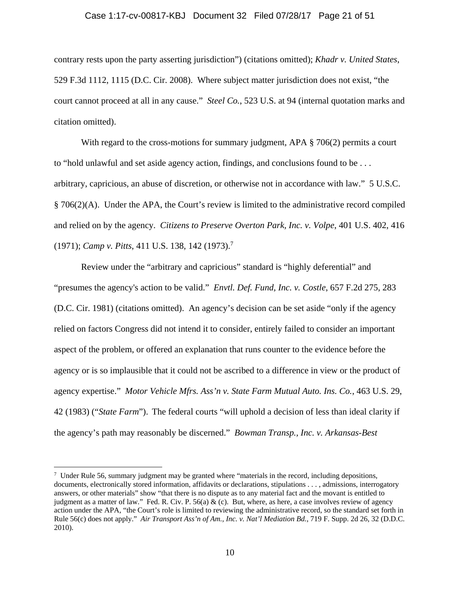#### Case 1:17-cv-00817-KBJ Document 32 Filed 07/28/17 Page 21 of 51

contrary rests upon the party asserting jurisdiction") (citations omitted); *Khadr v. United States*, 529 F.3d 1112, 1115 (D.C. Cir. 2008). Where subject matter jurisdiction does not exist, "the court cannot proceed at all in any cause." *Steel Co.*, 523 U.S. at 94 (internal quotation marks and citation omitted).

With regard to the cross-motions for summary judgment, APA  $\S 706(2)$  permits a court to "hold unlawful and set aside agency action, findings, and conclusions found to be . . . arbitrary, capricious, an abuse of discretion, or otherwise not in accordance with law." 5 U.S.C. § 706(2)(A). Under the APA, the Court's review is limited to the administrative record compiled and relied on by the agency. *Citizens to Preserve Overton Park, Inc. v. Volpe*, 401 U.S. 402, 416 (1971); *Camp v. Pitts*, 411 U.S. 138, 142 (1973).7

Review under the "arbitrary and capricious" standard is "highly deferential" and "presumes the agency's action to be valid." *Envtl. Def. Fund, Inc. v. Costle*, 657 F.2d 275, 283 (D.C. Cir. 1981) (citations omitted). An agency's decision can be set aside "only if the agency relied on factors Congress did not intend it to consider, entirely failed to consider an important aspect of the problem, or offered an explanation that runs counter to the evidence before the agency or is so implausible that it could not be ascribed to a difference in view or the product of agency expertise." *Motor Vehicle Mfrs. Ass'n v. State Farm Mutual Auto. Ins. Co.*, 463 U.S. 29, 42 (1983) ("*State Farm*"). The federal courts "will uphold a decision of less than ideal clarity if the agency's path may reasonably be discerned." *Bowman Transp., Inc. v. Arkansas-Best* 

<u>.</u>

 $\frac{7}{7}$  Under Rule 56, summary judgment may be granted where "materials in the record, including depositions, documents, electronically stored information, affidavits or declarations, stipulations . . . , admissions, interrogatory answers, or other materials" show "that there is no dispute as to any material fact and the movant is entitled to judgment as a matter of law." Fed. R. Civ. P. 56(a) & (c). But, where, as here, a case involves review of agency action under the APA, "the Court's role is limited to reviewing the administrative record, so the standard set forth in Rule 56(c) does not apply." *Air Transport Ass'n of Am., Inc. v. Nat'l Mediation Bd.*, 719 F. Supp. 2d 26, 32 (D.D.C. 2010).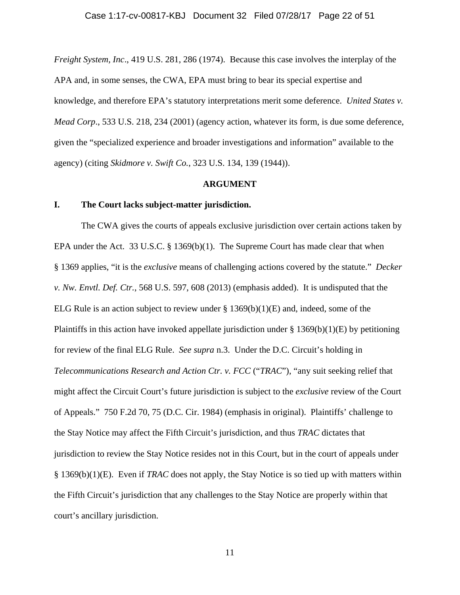*Freight System, Inc*., 419 U.S. 281, 286 (1974). Because this case involves the interplay of the APA and, in some senses, the CWA, EPA must bring to bear its special expertise and knowledge, and therefore EPA's statutory interpretations merit some deference. *United States v. Mead Corp*., 533 U.S. 218, 234 (2001) (agency action, whatever its form, is due some deference, given the "specialized experience and broader investigations and information" available to the agency) (citing *Skidmore v. Swift Co.*, 323 U.S. 134, 139 (1944)).

#### **ARGUMENT**

#### **I. The Court lacks subject-matter jurisdiction.**

The CWA gives the courts of appeals exclusive jurisdiction over certain actions taken by EPA under the Act. 33 U.S.C. § 1369(b)(1). The Supreme Court has made clear that when § 1369 applies, "it is the *exclusive* means of challenging actions covered by the statute." *Decker v. Nw. Envtl. Def. Ctr.*, 568 U.S. 597, 608 (2013) (emphasis added). It is undisputed that the ELG Rule is an action subject to review under  $\S$  1369(b)(1)(E) and, indeed, some of the Plaintiffs in this action have invoked appellate jurisdiction under  $\S$  1369(b)(1)(E) by petitioning for review of the final ELG Rule. *See supra* n.3. Under the D.C. Circuit's holding in *Telecommunications Research and Action Ctr. v. FCC* ("*TRAC*"), "any suit seeking relief that might affect the Circuit Court's future jurisdiction is subject to the *exclusive* review of the Court of Appeals." 750 F.2d 70, 75 (D.C. Cir. 1984) (emphasis in original). Plaintiffs' challenge to the Stay Notice may affect the Fifth Circuit's jurisdiction, and thus *TRAC* dictates that jurisdiction to review the Stay Notice resides not in this Court, but in the court of appeals under § 1369(b)(1)(E). Even if *TRAC* does not apply, the Stay Notice is so tied up with matters within the Fifth Circuit's jurisdiction that any challenges to the Stay Notice are properly within that court's ancillary jurisdiction.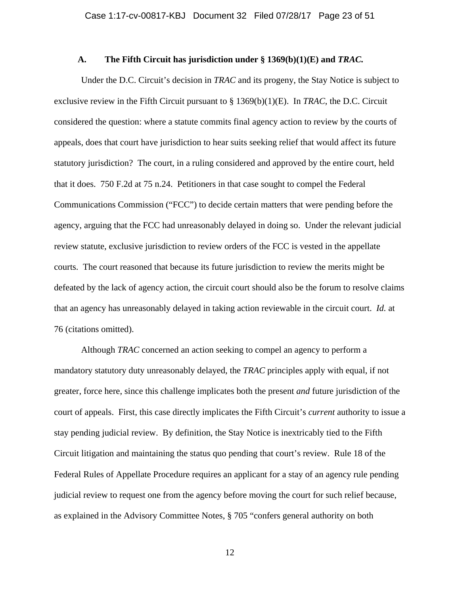#### **A. The Fifth Circuit has jurisdiction under § 1369(b)(1)(E) and** *TRAC.*

Under the D.C. Circuit's decision in *TRAC* and its progeny, the Stay Notice is subject to exclusive review in the Fifth Circuit pursuant to § 1369(b)(1)(E). In *TRAC*, the D.C. Circuit considered the question: where a statute commits final agency action to review by the courts of appeals, does that court have jurisdiction to hear suits seeking relief that would affect its future statutory jurisdiction? The court, in a ruling considered and approved by the entire court, held that it does. 750 F.2d at 75 n.24. Petitioners in that case sought to compel the Federal Communications Commission ("FCC") to decide certain matters that were pending before the agency, arguing that the FCC had unreasonably delayed in doing so. Under the relevant judicial review statute, exclusive jurisdiction to review orders of the FCC is vested in the appellate courts. The court reasoned that because its future jurisdiction to review the merits might be defeated by the lack of agency action, the circuit court should also be the forum to resolve claims that an agency has unreasonably delayed in taking action reviewable in the circuit court. *Id.* at 76 (citations omitted).

Although *TRAC* concerned an action seeking to compel an agency to perform a mandatory statutory duty unreasonably delayed, the *TRAC* principles apply with equal, if not greater, force here, since this challenge implicates both the present *and* future jurisdiction of the court of appeals. First, this case directly implicates the Fifth Circuit's *current* authority to issue a stay pending judicial review. By definition, the Stay Notice is inextricably tied to the Fifth Circuit litigation and maintaining the status quo pending that court's review. Rule 18 of the Federal Rules of Appellate Procedure requires an applicant for a stay of an agency rule pending judicial review to request one from the agency before moving the court for such relief because, as explained in the Advisory Committee Notes, § 705 "confers general authority on both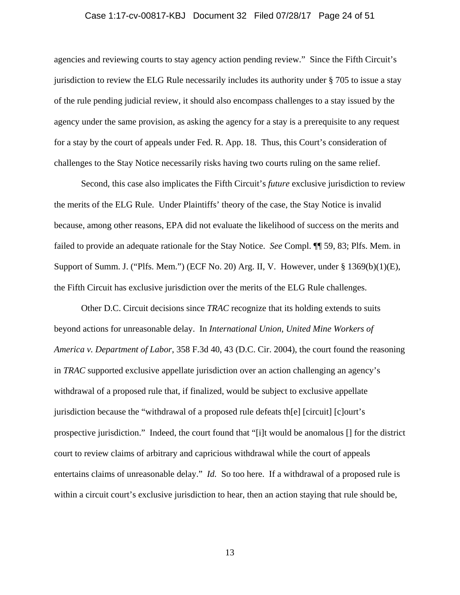#### Case 1:17-cv-00817-KBJ Document 32 Filed 07/28/17 Page 24 of 51

agencies and reviewing courts to stay agency action pending review." Since the Fifth Circuit's jurisdiction to review the ELG Rule necessarily includes its authority under § 705 to issue a stay of the rule pending judicial review, it should also encompass challenges to a stay issued by the agency under the same provision, as asking the agency for a stay is a prerequisite to any request for a stay by the court of appeals under Fed. R. App. 18. Thus, this Court's consideration of challenges to the Stay Notice necessarily risks having two courts ruling on the same relief.

Second, this case also implicates the Fifth Circuit's *future* exclusive jurisdiction to review the merits of the ELG Rule. Under Plaintiffs' theory of the case, the Stay Notice is invalid because, among other reasons, EPA did not evaluate the likelihood of success on the merits and failed to provide an adequate rationale for the Stay Notice. *See* Compl. ¶¶ 59, 83; Plfs. Mem. in Support of Summ. J. ("Plfs. Mem.") (ECF No. 20) Arg. II, V. However, under § 1369(b)(1)(E), the Fifth Circuit has exclusive jurisdiction over the merits of the ELG Rule challenges.

Other D.C. Circuit decisions since *TRAC* recognize that its holding extends to suits beyond actions for unreasonable delay. In *International Union, United Mine Workers of America v. Department of Labor*, 358 F.3d 40, 43 (D.C. Cir. 2004), the court found the reasoning in *TRAC* supported exclusive appellate jurisdiction over an action challenging an agency's withdrawal of a proposed rule that, if finalized, would be subject to exclusive appellate jurisdiction because the "withdrawal of a proposed rule defeats th[e] [circuit] [c]ourt's prospective jurisdiction." Indeed, the court found that "[i]t would be anomalous [] for the district court to review claims of arbitrary and capricious withdrawal while the court of appeals entertains claims of unreasonable delay." *Id.* So too here. If a withdrawal of a proposed rule is within a circuit court's exclusive jurisdiction to hear, then an action staying that rule should be,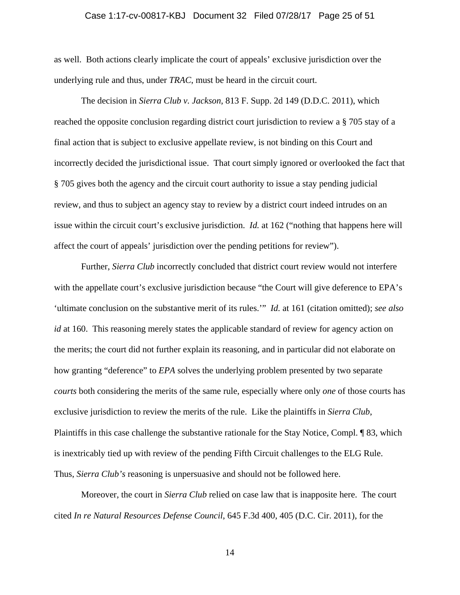#### Case 1:17-cv-00817-KBJ Document 32 Filed 07/28/17 Page 25 of 51

as well. Both actions clearly implicate the court of appeals' exclusive jurisdiction over the underlying rule and thus, under *TRAC*, must be heard in the circuit court.

The decision in *Sierra Club v. Jackson*, 813 F. Supp. 2d 149 (D.D.C. 2011), which reached the opposite conclusion regarding district court jurisdiction to review a § 705 stay of a final action that is subject to exclusive appellate review, is not binding on this Court and incorrectly decided the jurisdictional issue. That court simply ignored or overlooked the fact that § 705 gives both the agency and the circuit court authority to issue a stay pending judicial review, and thus to subject an agency stay to review by a district court indeed intrudes on an issue within the circuit court's exclusive jurisdiction. *Id.* at 162 ("nothing that happens here will affect the court of appeals' jurisdiction over the pending petitions for review").

Further, *Sierra Club* incorrectly concluded that district court review would not interfere with the appellate court's exclusive jurisdiction because "the Court will give deference to EPA's 'ultimate conclusion on the substantive merit of its rules.'" *Id.* at 161 (citation omitted); *see also id* at 160. This reasoning merely states the applicable standard of review for agency action on the merits; the court did not further explain its reasoning, and in particular did not elaborate on how granting "deference" to *EPA* solves the underlying problem presented by two separate *courts* both considering the merits of the same rule, especially where only *one* of those courts has exclusive jurisdiction to review the merits of the rule. Like the plaintiffs in *Sierra Club*, Plaintiffs in this case challenge the substantive rationale for the Stay Notice, Compl. ¶ 83, which is inextricably tied up with review of the pending Fifth Circuit challenges to the ELG Rule. Thus, *Sierra Club's* reasoning is unpersuasive and should not be followed here.

Moreover, the court in *Sierra Club* relied on case law that is inapposite here. The court cited *In re Natural Resources Defense Council*, 645 F.3d 400, 405 (D.C. Cir. 2011), for the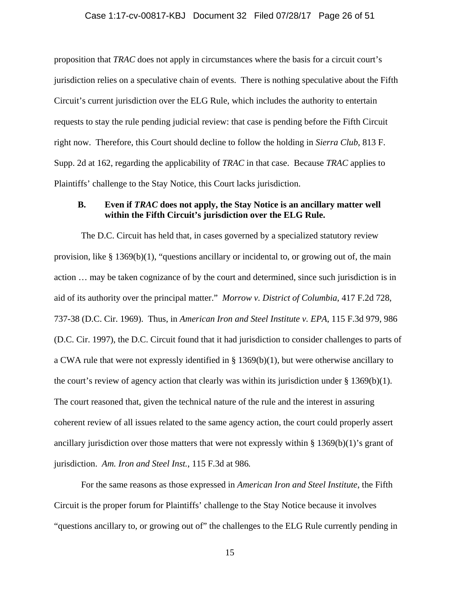#### Case 1:17-cv-00817-KBJ Document 32 Filed 07/28/17 Page 26 of 51

proposition that *TRAC* does not apply in circumstances where the basis for a circuit court's jurisdiction relies on a speculative chain of events. There is nothing speculative about the Fifth Circuit's current jurisdiction over the ELG Rule, which includes the authority to entertain requests to stay the rule pending judicial review: that case is pending before the Fifth Circuit right now. Therefore, this Court should decline to follow the holding in *Sierra Club*, 813 F. Supp. 2d at 162, regarding the applicability of *TRAC* in that case. Because *TRAC* applies to Plaintiffs' challenge to the Stay Notice, this Court lacks jurisdiction.

# **B. Even if** *TRAC* **does not apply, the Stay Notice is an ancillary matter well within the Fifth Circuit's jurisdiction over the ELG Rule.**

The D.C. Circuit has held that, in cases governed by a specialized statutory review provision, like  $\S 1369(b)(1)$ , "questions ancillary or incidental to, or growing out of, the main action … may be taken cognizance of by the court and determined, since such jurisdiction is in aid of its authority over the principal matter." *Morrow v. District of Columbia*, 417 F.2d 728, 737-38 (D.C. Cir. 1969). Thus, in *American Iron and Steel Institute v. EPA*, 115 F.3d 979, 986 (D.C. Cir. 1997), the D.C. Circuit found that it had jurisdiction to consider challenges to parts of a CWA rule that were not expressly identified in § 1369(b)(1), but were otherwise ancillary to the court's review of agency action that clearly was within its jurisdiction under § 1369(b)(1). The court reasoned that, given the technical nature of the rule and the interest in assuring coherent review of all issues related to the same agency action, the court could properly assert ancillary jurisdiction over those matters that were not expressly within  $\S 1369(b)(1)$ 's grant of jurisdiction. *Am. Iron and Steel Inst.*, 115 F.3d at 986*.*

For the same reasons as those expressed in *American Iron and Steel Institute*, the Fifth Circuit is the proper forum for Plaintiffs' challenge to the Stay Notice because it involves "questions ancillary to, or growing out of" the challenges to the ELG Rule currently pending in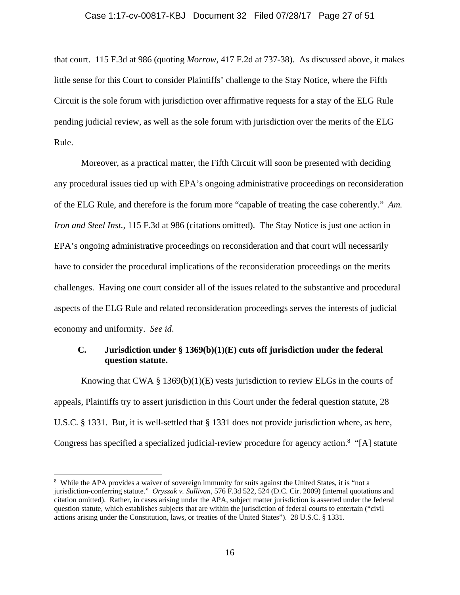#### Case 1:17-cv-00817-KBJ Document 32 Filed 07/28/17 Page 27 of 51

that court. 115 F.3d at 986 (quoting *Morrow*, 417 F.2d at 737-38). As discussed above, it makes little sense for this Court to consider Plaintiffs' challenge to the Stay Notice, where the Fifth Circuit is the sole forum with jurisdiction over affirmative requests for a stay of the ELG Rule pending judicial review, as well as the sole forum with jurisdiction over the merits of the ELG Rule.

Moreover, as a practical matter, the Fifth Circuit will soon be presented with deciding any procedural issues tied up with EPA's ongoing administrative proceedings on reconsideration of the ELG Rule, and therefore is the forum more "capable of treating the case coherently." *Am. Iron and Steel Inst.*, 115 F.3d at 986 (citations omitted). The Stay Notice is just one action in EPA's ongoing administrative proceedings on reconsideration and that court will necessarily have to consider the procedural implications of the reconsideration proceedings on the merits challenges. Having one court consider all of the issues related to the substantive and procedural aspects of the ELG Rule and related reconsideration proceedings serves the interests of judicial economy and uniformity. *See id*.

# **C. Jurisdiction under § 1369(b)(1)(E) cuts off jurisdiction under the federal question statute.**

Knowing that CWA § 1369(b)(1)(E) vests jurisdiction to review ELGs in the courts of appeals, Plaintiffs try to assert jurisdiction in this Court under the federal question statute, 28 U.S.C. § 1331. But, it is well-settled that § 1331 does not provide jurisdiction where, as here, Congress has specified a specialized judicial-review procedure for agency action.<sup>8</sup> "[A] statute

 $\overline{a}$ 

<sup>&</sup>lt;sup>8</sup> While the APA provides a waiver of sovereign immunity for suits against the United States, it is "not a jurisdiction-conferring statute." *Oryszak v. Sullivan*, 576 F.3d 522, 524 (D.C. Cir. 2009) (internal quotations and citation omitted). Rather, in cases arising under the APA, subject matter jurisdiction is asserted under the federal question statute, which establishes subjects that are within the jurisdiction of federal courts to entertain ("civil actions arising under the Constitution, laws, or treaties of the United States"). 28 U.S.C. § 1331.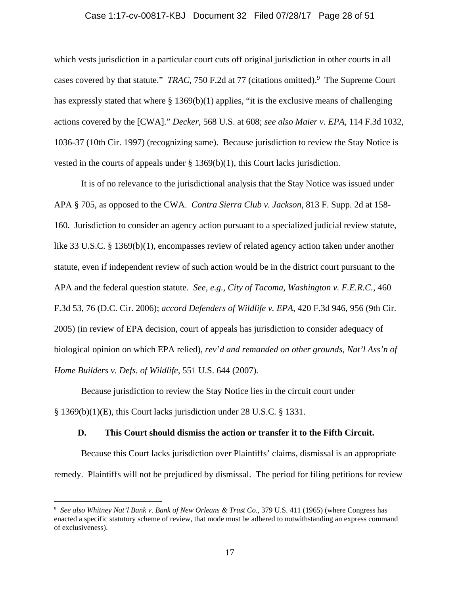#### Case 1:17-cv-00817-KBJ Document 32 Filed 07/28/17 Page 28 of 51

which vests jurisdiction in a particular court cuts off original jurisdiction in other courts in all cases covered by that statute." *TRAC*, 750 F.2d at 77 (citations omitted).<sup>9</sup> The Supreme Court has expressly stated that where § 1369(b)(1) applies, "it is the exclusive means of challenging actions covered by the [CWA]." *Decker*, 568 U.S. at 608; *see also Maier v. EPA*, 114 F.3d 1032, 1036-37 (10th Cir. 1997) (recognizing same). Because jurisdiction to review the Stay Notice is vested in the courts of appeals under  $\S 1369(b)(1)$ , this Court lacks jurisdiction.

It is of no relevance to the jurisdictional analysis that the Stay Notice was issued under APA § 705, as opposed to the CWA. *Contra Sierra Club v. Jackson*, 813 F. Supp. 2d at 158- 160. Jurisdiction to consider an agency action pursuant to a specialized judicial review statute, like 33 U.S.C. § 1369(b)(1), encompasses review of related agency action taken under another statute, even if independent review of such action would be in the district court pursuant to the APA and the federal question statute. *See, e.g., City of Tacoma, Washington v. F.E.R.C.*, 460 F.3d 53, 76 (D.C. Cir. 2006); *accord Defenders of Wildlife v. EPA*, 420 F.3d 946, 956 (9th Cir. 2005) (in review of EPA decision, court of appeals has jurisdiction to consider adequacy of biological opinion on which EPA relied), *rev'd and remanded on other grounds, Nat'l Ass'n of Home Builders v. Defs. of Wildlife*, 551 U.S. 644 (2007)*.*

Because jurisdiction to review the Stay Notice lies in the circuit court under § 1369(b)(1)(E), this Court lacks jurisdiction under 28 U.S.C. § 1331.

1

### **D. This Court should dismiss the action or transfer it to the Fifth Circuit.**

Because this Court lacks jurisdiction over Plaintiffs' claims, dismissal is an appropriate remedy. Plaintiffs will not be prejudiced by dismissal. The period for filing petitions for review

<sup>9</sup> *See also Whitney Nat'l Bank v. Bank of New Orleans & Trust Co*., 379 U.S. 411 (1965) (where Congress has enacted a specific statutory scheme of review, that mode must be adhered to notwithstanding an express command of exclusiveness).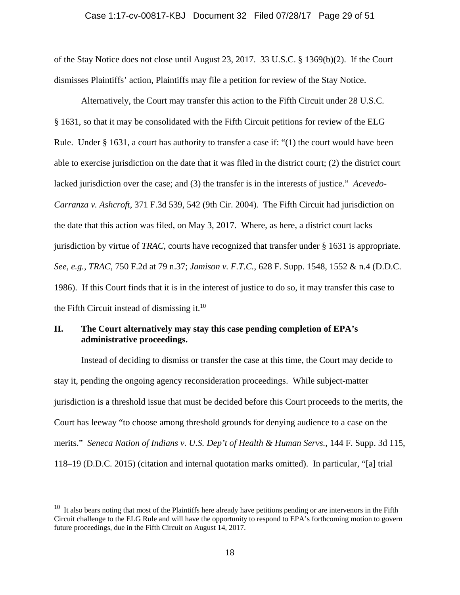#### Case 1:17-cv-00817-KBJ Document 32 Filed 07/28/17 Page 29 of 51

of the Stay Notice does not close until August 23, 2017. 33 U.S.C. § 1369(b)(2). If the Court dismisses Plaintiffs' action, Plaintiffs may file a petition for review of the Stay Notice.

Alternatively, the Court may transfer this action to the Fifth Circuit under 28 U.S.C. § 1631, so that it may be consolidated with the Fifth Circuit petitions for review of the ELG Rule. Under  $\S 1631$ , a court has authority to transfer a case if: "(1) the court would have been able to exercise jurisdiction on the date that it was filed in the district court; (2) the district court lacked jurisdiction over the case; and (3) the transfer is in the interests of justice." *Acevedo-Carranza v. Ashcroft*, 371 F.3d 539, 542 (9th Cir. 2004)*.* The Fifth Circuit had jurisdiction on the date that this action was filed, on May 3, 2017. Where, as here, a district court lacks jurisdiction by virtue of *TRAC*, courts have recognized that transfer under § 1631 is appropriate. *See, e.g., TRAC*, 750 F.2d at 79 n.37; *Jamison v. F.T.C.*, 628 F. Supp. 1548, 1552 & n.4 (D.D.C. 1986). If this Court finds that it is in the interest of justice to do so, it may transfer this case to the Fifth Circuit instead of dismissing it. $10$ 

# **II. The Court alternatively may stay this case pending completion of EPA's administrative proceedings.**

Instead of deciding to dismiss or transfer the case at this time, the Court may decide to stay it, pending the ongoing agency reconsideration proceedings. While subject-matter jurisdiction is a threshold issue that must be decided before this Court proceeds to the merits, the Court has leeway "to choose among threshold grounds for denying audience to a case on the merits." *Seneca Nation of Indians v. U.S. Dep't of Health & Human Servs.*, 144 F. Supp. 3d 115, 118–19 (D.D.C. 2015) (citation and internal quotation marks omitted). In particular, "[a] trial

 $\overline{a}$ 

 $10$  It also bears noting that most of the Plaintiffs here already have petitions pending or are intervenors in the Fifth Circuit challenge to the ELG Rule and will have the opportunity to respond to EPA's forthcoming motion to govern future proceedings, due in the Fifth Circuit on August 14, 2017.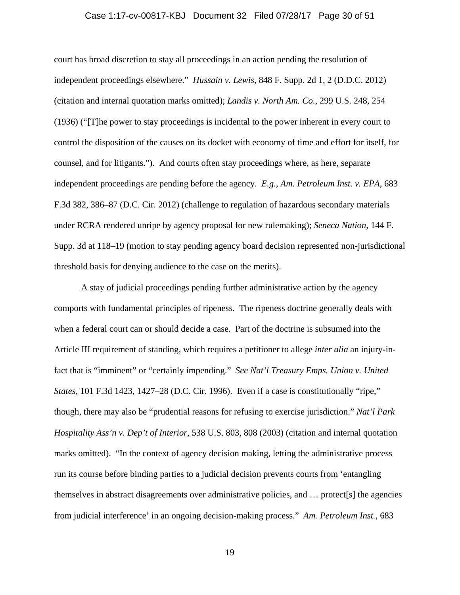#### Case 1:17-cv-00817-KBJ Document 32 Filed 07/28/17 Page 30 of 51

court has broad discretion to stay all proceedings in an action pending the resolution of independent proceedings elsewhere." *Hussain v. Lewis*, 848 F. Supp. 2d 1, 2 (D.D.C. 2012) (citation and internal quotation marks omitted); *Landis v. North Am. Co*., 299 U.S. 248, 254 (1936) ("[T]he power to stay proceedings is incidental to the power inherent in every court to control the disposition of the causes on its docket with economy of time and effort for itself, for counsel, and for litigants."). And courts often stay proceedings where, as here, separate independent proceedings are pending before the agency. *E.g., Am. Petroleum Inst. v. EPA*, 683 F.3d 382, 386–87 (D.C. Cir. 2012) (challenge to regulation of hazardous secondary materials under RCRA rendered unripe by agency proposal for new rulemaking); *Seneca Nation*, 144 F. Supp. 3d at 118–19 (motion to stay pending agency board decision represented non-jurisdictional threshold basis for denying audience to the case on the merits).

A stay of judicial proceedings pending further administrative action by the agency comports with fundamental principles of ripeness. The ripeness doctrine generally deals with when a federal court can or should decide a case. Part of the doctrine is subsumed into the Article III requirement of standing, which requires a petitioner to allege *inter alia* an injury-infact that is "imminent" or "certainly impending." *See Nat'l Treasury Emps. Union v. United States,* 101 F.3d 1423, 1427–28 (D.C. Cir. 1996). Even if a case is constitutionally "ripe," though, there may also be "prudential reasons for refusing to exercise jurisdiction." *Nat'l Park Hospitality Ass'n v. Dep't of Interior,* 538 U.S. 803, 808 (2003) (citation and internal quotation marks omitted). "In the context of agency decision making, letting the administrative process run its course before binding parties to a judicial decision prevents courts from 'entangling themselves in abstract disagreements over administrative policies, and … protect[s] the agencies from judicial interference' in an ongoing decision-making process." *Am. Petroleum Inst.*, 683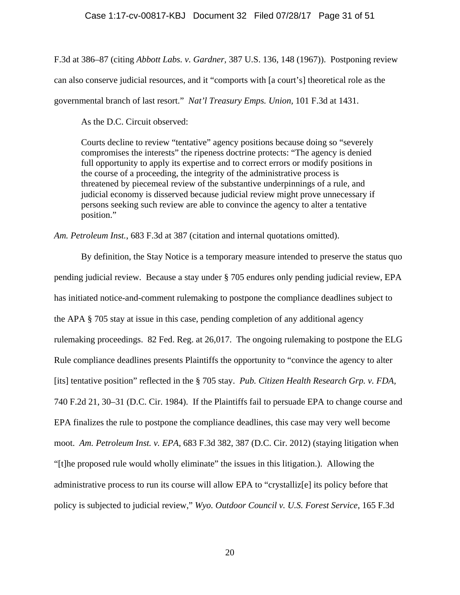### Case 1:17-cv-00817-KBJ Document 32 Filed 07/28/17 Page 31 of 51

F.3d at 386–87 (citing *Abbott Labs. v. Gardner,* 387 U.S. 136, 148 (1967)). Postponing review

can also conserve judicial resources, and it "comports with [a court's] theoretical role as the

governmental branch of last resort." *Nat'l Treasury Emps. Union,* 101 F.3d at 1431.

As the D.C. Circuit observed:

Courts decline to review "tentative" agency positions because doing so "severely compromises the interests" the ripeness doctrine protects: "The agency is denied full opportunity to apply its expertise and to correct errors or modify positions in the course of a proceeding, the integrity of the administrative process is threatened by piecemeal review of the substantive underpinnings of a rule, and judicial economy is disserved because judicial review might prove unnecessary if persons seeking such review are able to convince the agency to alter a tentative position."

*Am. Petroleum Inst.*, 683 F.3d at 387 (citation and internal quotations omitted).

 By definition, the Stay Notice is a temporary measure intended to preserve the status quo pending judicial review. Because a stay under § 705 endures only pending judicial review, EPA has initiated notice-and-comment rulemaking to postpone the compliance deadlines subject to the APA § 705 stay at issue in this case, pending completion of any additional agency rulemaking proceedings. 82 Fed. Reg. at 26,017. The ongoing rulemaking to postpone the ELG Rule compliance deadlines presents Plaintiffs the opportunity to "convince the agency to alter [its] tentative position" reflected in the § 705 stay. *Pub. Citizen Health Research Grp. v. FDA,* 740 F.2d 21, 30–31 (D.C. Cir. 1984). If the Plaintiffs fail to persuade EPA to change course and EPA finalizes the rule to postpone the compliance deadlines, this case may very well become moot. *Am. Petroleum Inst. v. EPA*, 683 F.3d 382, 387 (D.C. Cir. 2012) (staying litigation when "[t]he proposed rule would wholly eliminate" the issues in this litigation.). Allowing the administrative process to run its course will allow EPA to "crystalliz[e] its policy before that policy is subjected to judicial review," *Wyo. Outdoor Council v. U.S. Forest Service*, 165 F.3d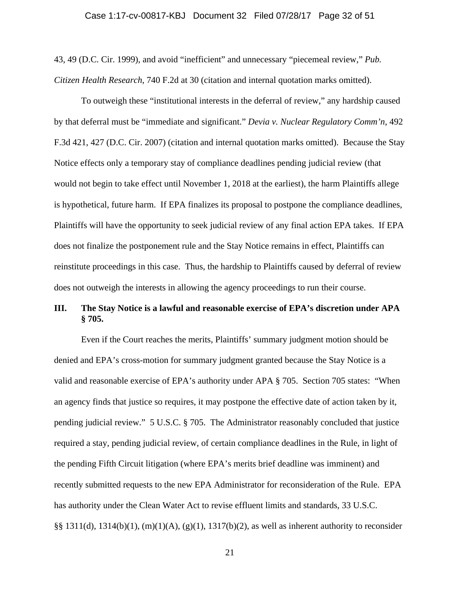#### Case 1:17-cv-00817-KBJ Document 32 Filed 07/28/17 Page 32 of 51

43, 49 (D.C. Cir. 1999), and avoid "inefficient" and unnecessary "piecemeal review," *Pub. Citizen Health Research*, 740 F.2d at 30 (citation and internal quotation marks omitted).

To outweigh these "institutional interests in the deferral of review," any hardship caused by that deferral must be "immediate and significant." *Devia v. Nuclear Regulatory Comm'n*, 492 F.3d 421, 427 (D.C. Cir. 2007) (citation and internal quotation marks omitted). Because the Stay Notice effects only a temporary stay of compliance deadlines pending judicial review (that would not begin to take effect until November 1, 2018 at the earliest), the harm Plaintiffs allege is hypothetical, future harm. If EPA finalizes its proposal to postpone the compliance deadlines, Plaintiffs will have the opportunity to seek judicial review of any final action EPA takes. If EPA does not finalize the postponement rule and the Stay Notice remains in effect, Plaintiffs can reinstitute proceedings in this case. Thus, the hardship to Plaintiffs caused by deferral of review does not outweigh the interests in allowing the agency proceedings to run their course.

# **III. The Stay Notice is a lawful and reasonable exercise of EPA's discretion under APA § 705.**

Even if the Court reaches the merits, Plaintiffs' summary judgment motion should be denied and EPA's cross-motion for summary judgment granted because the Stay Notice is a valid and reasonable exercise of EPA's authority under APA § 705. Section 705 states: "When an agency finds that justice so requires, it may postpone the effective date of action taken by it, pending judicial review." 5 U.S.C. § 705. The Administrator reasonably concluded that justice required a stay, pending judicial review, of certain compliance deadlines in the Rule, in light of the pending Fifth Circuit litigation (where EPA's merits brief deadline was imminent) and recently submitted requests to the new EPA Administrator for reconsideration of the Rule. EPA has authority under the Clean Water Act to revise effluent limits and standards, 33 U.S.C. §§ 1311(d), 1314(b)(1), (m)(1)(A), (g)(1), 1317(b)(2), as well as inherent authority to reconsider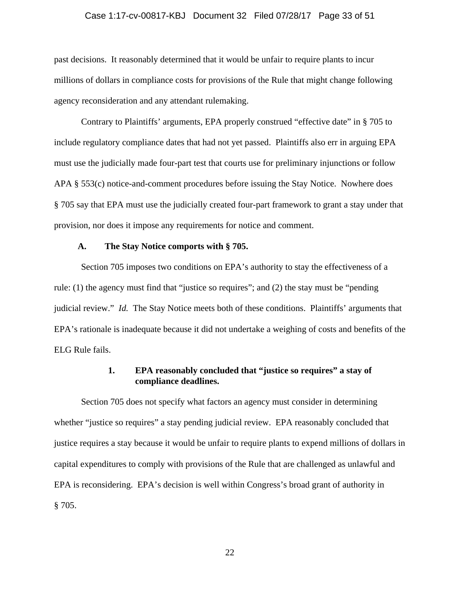#### Case 1:17-cv-00817-KBJ Document 32 Filed 07/28/17 Page 33 of 51

past decisions. It reasonably determined that it would be unfair to require plants to incur millions of dollars in compliance costs for provisions of the Rule that might change following agency reconsideration and any attendant rulemaking.

Contrary to Plaintiffs' arguments, EPA properly construed "effective date" in § 705 to include regulatory compliance dates that had not yet passed. Plaintiffs also err in arguing EPA must use the judicially made four-part test that courts use for preliminary injunctions or follow APA § 553(c) notice-and-comment procedures before issuing the Stay Notice. Nowhere does § 705 say that EPA must use the judicially created four-part framework to grant a stay under that provision, nor does it impose any requirements for notice and comment.

#### **A. The Stay Notice comports with § 705.**

Section 705 imposes two conditions on EPA's authority to stay the effectiveness of a rule: (1) the agency must find that "justice so requires"; and (2) the stay must be "pending judicial review." *Id.* The Stay Notice meets both of these conditions. Plaintiffs' arguments that EPA's rationale is inadequate because it did not undertake a weighing of costs and benefits of the ELG Rule fails.

# **1. EPA reasonably concluded that "justice so requires" a stay of compliance deadlines.**

Section 705 does not specify what factors an agency must consider in determining whether "justice so requires" a stay pending judicial review. EPA reasonably concluded that justice requires a stay because it would be unfair to require plants to expend millions of dollars in capital expenditures to comply with provisions of the Rule that are challenged as unlawful and EPA is reconsidering. EPA's decision is well within Congress's broad grant of authority in § 705.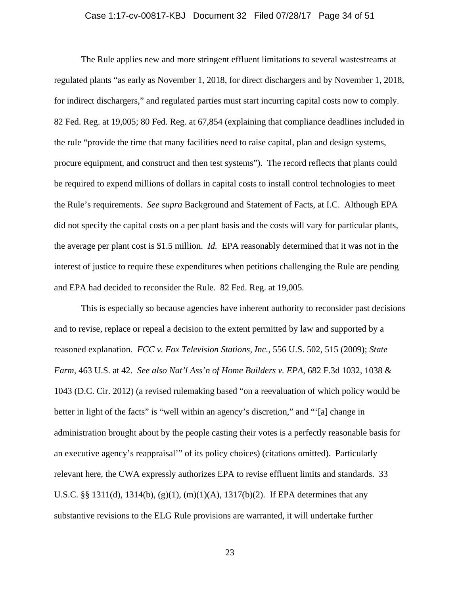#### Case 1:17-cv-00817-KBJ Document 32 Filed 07/28/17 Page 34 of 51

The Rule applies new and more stringent effluent limitations to several wastestreams at regulated plants "as early as November 1, 2018, for direct dischargers and by November 1, 2018, for indirect dischargers," and regulated parties must start incurring capital costs now to comply. 82 Fed. Reg. at 19,005; 80 Fed. Reg. at 67,854 (explaining that compliance deadlines included in the rule "provide the time that many facilities need to raise capital, plan and design systems, procure equipment, and construct and then test systems"). The record reflects that plants could be required to expend millions of dollars in capital costs to install control technologies to meet the Rule's requirements. *See supra* Background and Statement of Facts, at I.C. Although EPA did not specify the capital costs on a per plant basis and the costs will vary for particular plants, the average per plant cost is \$1.5 million. *Id.* EPA reasonably determined that it was not in the interest of justice to require these expenditures when petitions challenging the Rule are pending and EPA had decided to reconsider the Rule. 82 Fed. Reg. at 19,005*.*

This is especially so because agencies have inherent authority to reconsider past decisions and to revise, replace or repeal a decision to the extent permitted by law and supported by a reasoned explanation. *FCC v. Fox Television Stations, Inc.*, 556 U.S. 502, 515 (2009); *State Farm*, 463 U.S. at 42. *See also Nat'l Ass'n of Home Builders v. EPA*, 682 F.3d 1032, 1038 & 1043 (D.C. Cir. 2012) (a revised rulemaking based "on a reevaluation of which policy would be better in light of the facts" is "well within an agency's discretion," and "'[a] change in administration brought about by the people casting their votes is a perfectly reasonable basis for an executive agency's reappraisal'" of its policy choices) (citations omitted). Particularly relevant here, the CWA expressly authorizes EPA to revise effluent limits and standards. 33 U.S.C. §§ 1311(d), 1314(b), (g)(1), (m)(1)(A), 1317(b)(2). If EPA determines that any substantive revisions to the ELG Rule provisions are warranted, it will undertake further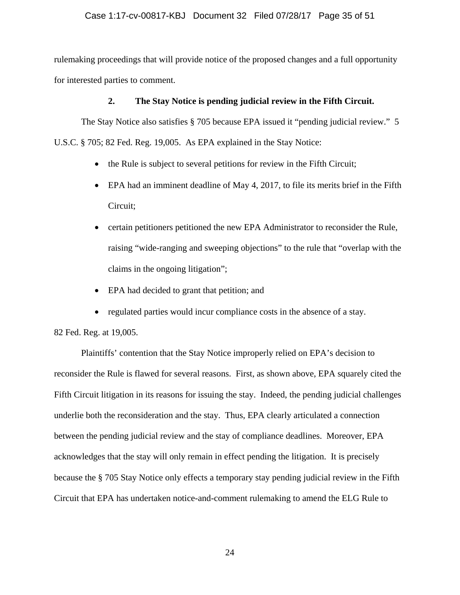### Case 1:17-cv-00817-KBJ Document 32 Filed 07/28/17 Page 35 of 51

rulemaking proceedings that will provide notice of the proposed changes and a full opportunity for interested parties to comment.

### **2. The Stay Notice is pending judicial review in the Fifth Circuit.**

The Stay Notice also satisfies § 705 because EPA issued it "pending judicial review." 5 U.S.C. § 705; 82 Fed. Reg. 19,005. As EPA explained in the Stay Notice:

- the Rule is subject to several petitions for review in the Fifth Circuit;
- EPA had an imminent deadline of May 4, 2017, to file its merits brief in the Fifth Circuit;
- certain petitioners petitioned the new EPA Administrator to reconsider the Rule, raising "wide-ranging and sweeping objections" to the rule that "overlap with the claims in the ongoing litigation";
- EPA had decided to grant that petition; and
- regulated parties would incur compliance costs in the absence of a stay.

82 Fed. Reg. at 19,005.

 Plaintiffs' contention that the Stay Notice improperly relied on EPA's decision to reconsider the Rule is flawed for several reasons. First, as shown above, EPA squarely cited the Fifth Circuit litigation in its reasons for issuing the stay. Indeed, the pending judicial challenges underlie both the reconsideration and the stay. Thus, EPA clearly articulated a connection between the pending judicial review and the stay of compliance deadlines. Moreover, EPA acknowledges that the stay will only remain in effect pending the litigation. It is precisely because the § 705 Stay Notice only effects a temporary stay pending judicial review in the Fifth Circuit that EPA has undertaken notice-and-comment rulemaking to amend the ELG Rule to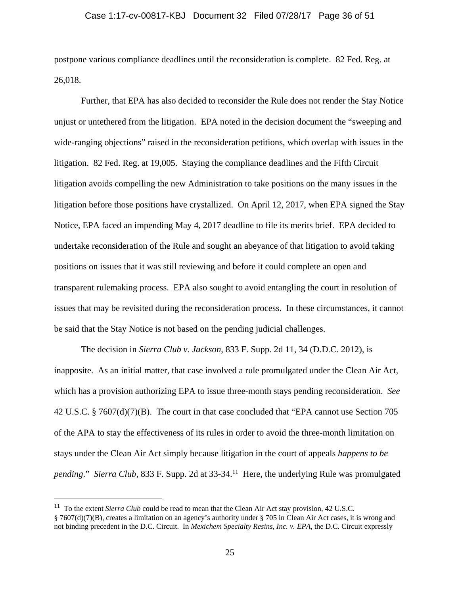#### Case 1:17-cv-00817-KBJ Document 32 Filed 07/28/17 Page 36 of 51

postpone various compliance deadlines until the reconsideration is complete. 82 Fed. Reg. at 26,018.

Further, that EPA has also decided to reconsider the Rule does not render the Stay Notice unjust or untethered from the litigation. EPA noted in the decision document the "sweeping and wide-ranging objections" raised in the reconsideration petitions, which overlap with issues in the litigation. 82 Fed. Reg. at 19,005. Staying the compliance deadlines and the Fifth Circuit litigation avoids compelling the new Administration to take positions on the many issues in the litigation before those positions have crystallized. On April 12, 2017, when EPA signed the Stay Notice, EPA faced an impending May 4, 2017 deadline to file its merits brief. EPA decided to undertake reconsideration of the Rule and sought an abeyance of that litigation to avoid taking positions on issues that it was still reviewing and before it could complete an open and transparent rulemaking process. EPA also sought to avoid entangling the court in resolution of issues that may be revisited during the reconsideration process. In these circumstances, it cannot be said that the Stay Notice is not based on the pending judicial challenges.

The decision in *Sierra Club v. Jackson*, 833 F. Supp. 2d 11, 34 (D.D.C. 2012), is inapposite. As an initial matter, that case involved a rule promulgated under the Clean Air Act, which has a provision authorizing EPA to issue three-month stays pending reconsideration. *See* 42 U.S.C. § 7607(d)(7)(B). The court in that case concluded that "EPA cannot use Section 705 of the APA to stay the effectiveness of its rules in order to avoid the three-month limitation on stays under the Clean Air Act simply because litigation in the court of appeals *happens to be pending.*" *Sierra Club*, 833 F. Supp. 2d at 33-34.<sup>11</sup> Here, the underlying Rule was promulgated

 $\overline{a}$ 

<sup>&</sup>lt;sup>11</sup> To the extent *Sierra Club* could be read to mean that the Clean Air Act stay provision, 42 U.S.C. § 7607(d)(7)(B), creates a limitation on an agency's authority under § 705 in Clean Air Act cases, it is wrong and not binding precedent in the D.C. Circuit. In *Mexichem Specialty Resins, Inc. v. EPA*, the D.C. Circuit expressly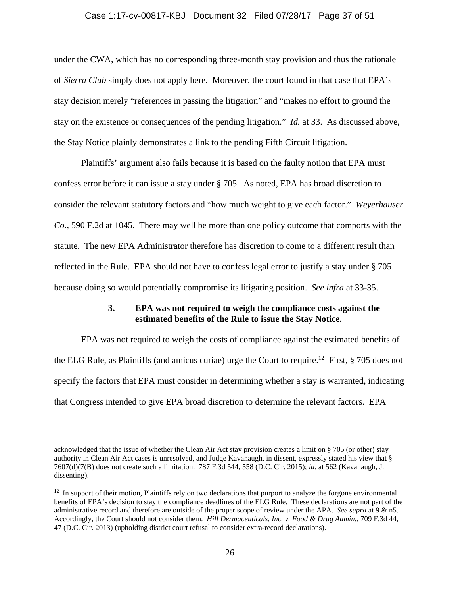### Case 1:17-cv-00817-KBJ Document 32 Filed 07/28/17 Page 37 of 51

under the CWA, which has no corresponding three-month stay provision and thus the rationale of *Sierra Club* simply does not apply here. Moreover, the court found in that case that EPA's stay decision merely "references in passing the litigation" and "makes no effort to ground the stay on the existence or consequences of the pending litigation." *Id.* at 33. As discussed above, the Stay Notice plainly demonstrates a link to the pending Fifth Circuit litigation.

Plaintiffs' argument also fails because it is based on the faulty notion that EPA must confess error before it can issue a stay under § 705. As noted, EPA has broad discretion to consider the relevant statutory factors and "how much weight to give each factor." *Weyerhauser Co.*, 590 F.2d at 1045. There may well be more than one policy outcome that comports with the statute. The new EPA Administrator therefore has discretion to come to a different result than reflected in the Rule. EPA should not have to confess legal error to justify a stay under § 705 because doing so would potentially compromise its litigating position. *See infra* at 33-35.

# **3. EPA was not required to weigh the compliance costs against the estimated benefits of the Rule to issue the Stay Notice.**

EPA was not required to weigh the costs of compliance against the estimated benefits of the ELG Rule, as Plaintiffs (and amicus curiae) urge the Court to require.<sup>12</sup> First,  $\S$  705 does not specify the factors that EPA must consider in determining whether a stay is warranted, indicating that Congress intended to give EPA broad discretion to determine the relevant factors. EPA

 $\overline{a}$ 

acknowledged that the issue of whether the Clean Air Act stay provision creates a limit on § 705 (or other) stay authority in Clean Air Act cases is unresolved, and Judge Kavanaugh, in dissent, expressly stated his view that § 7607(d)(7(B) does not create such a limitation. 787 F.3d 544, 558 (D.C. Cir. 2015); *id.* at 562 (Kavanaugh, J. dissenting).

<sup>&</sup>lt;sup>12</sup> In support of their motion, Plaintiffs rely on two declarations that purport to analyze the forgone environmental benefits of EPA's decision to stay the compliance deadlines of the ELG Rule. These declarations are not part of the administrative record and therefore are outside of the proper scope of review under the APA. *See supra* at 9 & n5. Accordingly, the Court should not consider them. *Hill Dermaceuticals, Inc. v. Food & Drug Admin.*, 709 F.3d 44, 47 (D.C. Cir. 2013) (upholding district court refusal to consider extra-record declarations).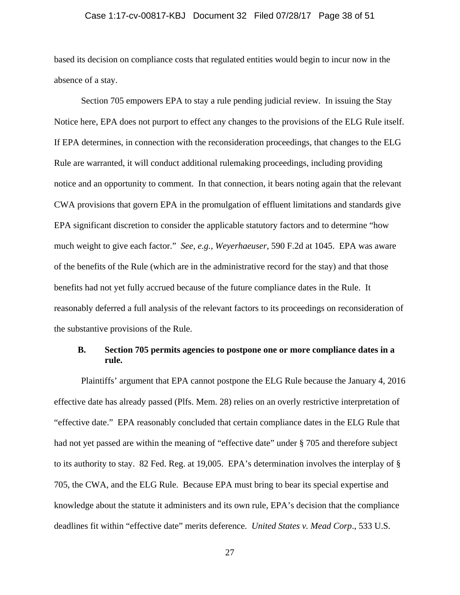#### Case 1:17-cv-00817-KBJ Document 32 Filed 07/28/17 Page 38 of 51

based its decision on compliance costs that regulated entities would begin to incur now in the absence of a stay.

Section 705 empowers EPA to stay a rule pending judicial review. In issuing the Stay Notice here, EPA does not purport to effect any changes to the provisions of the ELG Rule itself. If EPA determines, in connection with the reconsideration proceedings, that changes to the ELG Rule are warranted, it will conduct additional rulemaking proceedings, including providing notice and an opportunity to comment. In that connection, it bears noting again that the relevant CWA provisions that govern EPA in the promulgation of effluent limitations and standards give EPA significant discretion to consider the applicable statutory factors and to determine "how much weight to give each factor." *See, e.g., Weyerhaeuser*, 590 F.2d at 1045. EPA was aware of the benefits of the Rule (which are in the administrative record for the stay) and that those benefits had not yet fully accrued because of the future compliance dates in the Rule. It reasonably deferred a full analysis of the relevant factors to its proceedings on reconsideration of the substantive provisions of the Rule.

## **B. Section 705 permits agencies to postpone one or more compliance dates in a rule.**

Plaintiffs' argument that EPA cannot postpone the ELG Rule because the January 4, 2016 effective date has already passed (Plfs. Mem. 28) relies on an overly restrictive interpretation of "effective date." EPA reasonably concluded that certain compliance dates in the ELG Rule that had not yet passed are within the meaning of "effective date" under § 705 and therefore subject to its authority to stay. 82 Fed. Reg. at 19,005. EPA's determination involves the interplay of § 705, the CWA, and the ELG Rule. Because EPA must bring to bear its special expertise and knowledge about the statute it administers and its own rule, EPA's decision that the compliance deadlines fit within "effective date" merits deference. *United States v. Mead Corp*., 533 U.S.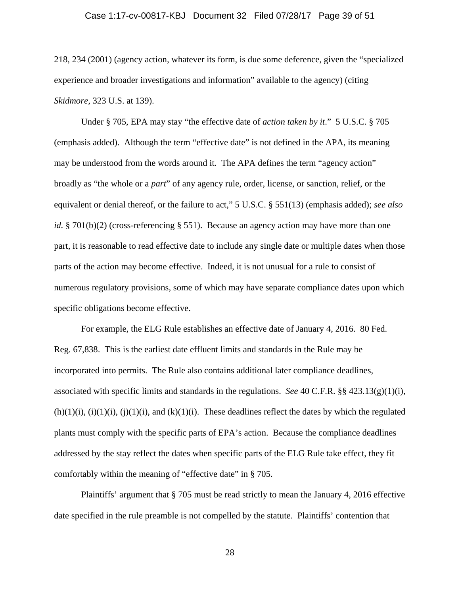#### Case 1:17-cv-00817-KBJ Document 32 Filed 07/28/17 Page 39 of 51

218, 234 (2001) (agency action, whatever its form, is due some deference, given the "specialized experience and broader investigations and information" available to the agency) (citing *Skidmore*, 323 U.S. at 139).

Under § 705, EPA may stay "the effective date of *action taken by it*." 5 U.S.C. § 705 (emphasis added). Although the term "effective date" is not defined in the APA, its meaning may be understood from the words around it. The APA defines the term "agency action" broadly as "the whole or a *part*" of any agency rule, order, license, or sanction, relief, or the equivalent or denial thereof, or the failure to act," 5 U.S.C. § 551(13) (emphasis added); *see also id.* § 701(b)(2) (cross-referencing § 551). Because an agency action may have more than one part, it is reasonable to read effective date to include any single date or multiple dates when those parts of the action may become effective. Indeed, it is not unusual for a rule to consist of numerous regulatory provisions, some of which may have separate compliance dates upon which specific obligations become effective.

For example, the ELG Rule establishes an effective date of January 4, 2016. 80 Fed. Reg. 67,838. This is the earliest date effluent limits and standards in the Rule may be incorporated into permits. The Rule also contains additional later compliance deadlines, associated with specific limits and standards in the regulations. *See* 40 C.F.R. §§ 423.13(g)(1)(i),  $(h)(1)(i)$ ,  $(i)(1)(i)$ ,  $(i)(1)(i)$ , and  $(k)(1)(i)$ . These deadlines reflect the dates by which the regulated plants must comply with the specific parts of EPA's action. Because the compliance deadlines addressed by the stay reflect the dates when specific parts of the ELG Rule take effect, they fit comfortably within the meaning of "effective date" in § 705.

Plaintiffs' argument that § 705 must be read strictly to mean the January 4, 2016 effective date specified in the rule preamble is not compelled by the statute. Plaintiffs' contention that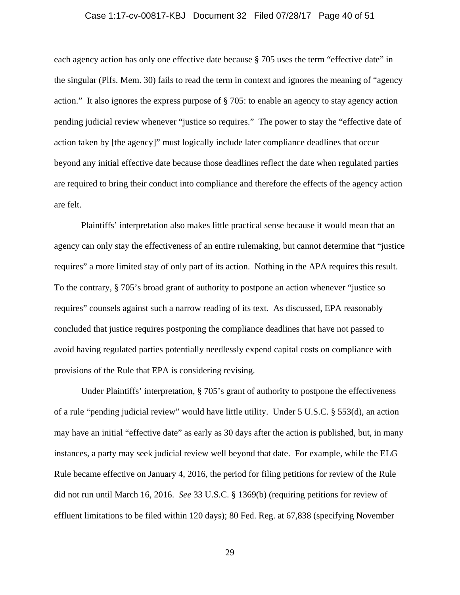#### Case 1:17-cv-00817-KBJ Document 32 Filed 07/28/17 Page 40 of 51

each agency action has only one effective date because § 705 uses the term "effective date" in the singular (Plfs. Mem. 30) fails to read the term in context and ignores the meaning of "agency action." It also ignores the express purpose of § 705: to enable an agency to stay agency action pending judicial review whenever "justice so requires." The power to stay the "effective date of action taken by [the agency]" must logically include later compliance deadlines that occur beyond any initial effective date because those deadlines reflect the date when regulated parties are required to bring their conduct into compliance and therefore the effects of the agency action are felt.

Plaintiffs' interpretation also makes little practical sense because it would mean that an agency can only stay the effectiveness of an entire rulemaking, but cannot determine that "justice requires" a more limited stay of only part of its action. Nothing in the APA requires this result. To the contrary, § 705's broad grant of authority to postpone an action whenever "justice so requires" counsels against such a narrow reading of its text. As discussed, EPA reasonably concluded that justice requires postponing the compliance deadlines that have not passed to avoid having regulated parties potentially needlessly expend capital costs on compliance with provisions of the Rule that EPA is considering revising.

Under Plaintiffs' interpretation, § 705's grant of authority to postpone the effectiveness of a rule "pending judicial review" would have little utility. Under 5 U.S.C. § 553(d), an action may have an initial "effective date" as early as 30 days after the action is published, but, in many instances, a party may seek judicial review well beyond that date. For example, while the ELG Rule became effective on January 4, 2016, the period for filing petitions for review of the Rule did not run until March 16, 2016. *See* 33 U.S.C. § 1369(b) (requiring petitions for review of effluent limitations to be filed within 120 days); 80 Fed. Reg. at 67,838 (specifying November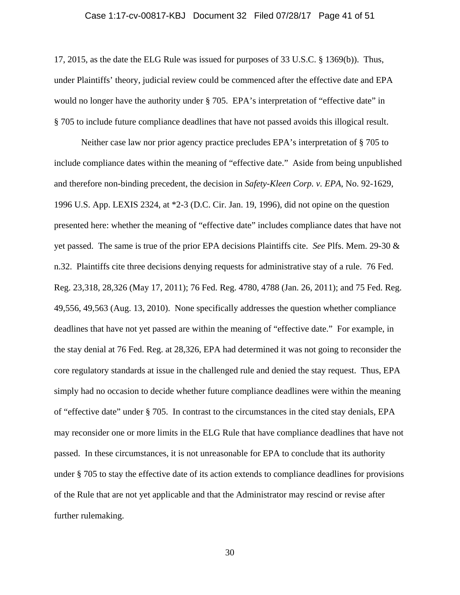#### Case 1:17-cv-00817-KBJ Document 32 Filed 07/28/17 Page 41 of 51

17, 2015, as the date the ELG Rule was issued for purposes of 33 U.S.C. § 1369(b)). Thus, under Plaintiffs' theory, judicial review could be commenced after the effective date and EPA would no longer have the authority under § 705. EPA's interpretation of "effective date" in § 705 to include future compliance deadlines that have not passed avoids this illogical result.

Neither case law nor prior agency practice precludes EPA's interpretation of § 705 to include compliance dates within the meaning of "effective date." Aside from being unpublished and therefore non-binding precedent, the decision in *Safety-Kleen Corp. v. EPA*, No. 92-1629, 1996 U.S. App. LEXIS 2324, at \*2-3 (D.C. Cir. Jan. 19, 1996), did not opine on the question presented here: whether the meaning of "effective date" includes compliance dates that have not yet passed. The same is true of the prior EPA decisions Plaintiffs cite. *See* Plfs. Mem. 29-30 & n.32. Plaintiffs cite three decisions denying requests for administrative stay of a rule. 76 Fed. Reg. 23,318, 28,326 (May 17, 2011); 76 Fed. Reg. 4780, 4788 (Jan. 26, 2011); and 75 Fed. Reg. 49,556, 49,563 (Aug. 13, 2010). None specifically addresses the question whether compliance deadlines that have not yet passed are within the meaning of "effective date." For example, in the stay denial at 76 Fed. Reg. at 28,326, EPA had determined it was not going to reconsider the core regulatory standards at issue in the challenged rule and denied the stay request. Thus, EPA simply had no occasion to decide whether future compliance deadlines were within the meaning of "effective date" under § 705. In contrast to the circumstances in the cited stay denials, EPA may reconsider one or more limits in the ELG Rule that have compliance deadlines that have not passed. In these circumstances, it is not unreasonable for EPA to conclude that its authority under § 705 to stay the effective date of its action extends to compliance deadlines for provisions of the Rule that are not yet applicable and that the Administrator may rescind or revise after further rulemaking.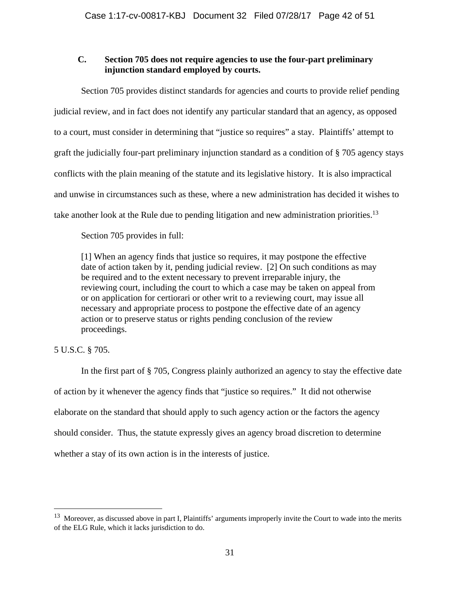# **C. Section 705 does not require agencies to use the four-part preliminary injunction standard employed by courts.**

Section 705 provides distinct standards for agencies and courts to provide relief pending judicial review, and in fact does not identify any particular standard that an agency, as opposed to a court, must consider in determining that "justice so requires" a stay. Plaintiffs' attempt to graft the judicially four-part preliminary injunction standard as a condition of § 705 agency stays conflicts with the plain meaning of the statute and its legislative history. It is also impractical and unwise in circumstances such as these, where a new administration has decided it wishes to take another look at the Rule due to pending litigation and new administration priorities.<sup>13</sup>

Section 705 provides in full:

[1] When an agency finds that justice so requires, it may postpone the effective date of action taken by it, pending judicial review. [2] On such conditions as may be required and to the extent necessary to prevent irreparable injury, the reviewing court, including the court to which a case may be taken on appeal from or on application for certiorari or other writ to a reviewing court, may issue all necessary and appropriate process to postpone the effective date of an agency action or to preserve status or rights pending conclusion of the review proceedings.

# 5 U.S.C. § 705.

1

In the first part of § 705, Congress plainly authorized an agency to stay the effective date of action by it whenever the agency finds that "justice so requires." It did not otherwise elaborate on the standard that should apply to such agency action or the factors the agency should consider. Thus, the statute expressly gives an agency broad discretion to determine whether a stay of its own action is in the interests of justice.

 $13$  Moreover, as discussed above in part I, Plaintiffs' arguments improperly invite the Court to wade into the merits of the ELG Rule, which it lacks jurisdiction to do.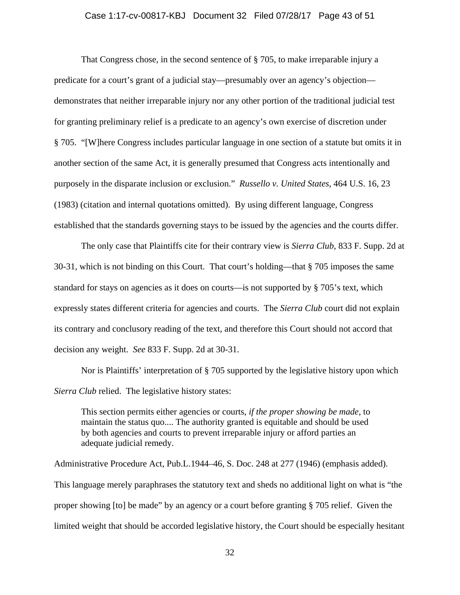#### Case 1:17-cv-00817-KBJ Document 32 Filed 07/28/17 Page 43 of 51

That Congress chose, in the second sentence of § 705, to make irreparable injury a predicate for a court's grant of a judicial stay—presumably over an agency's objection demonstrates that neither irreparable injury nor any other portion of the traditional judicial test for granting preliminary relief is a predicate to an agency's own exercise of discretion under § 705. "[W]here Congress includes particular language in one section of a statute but omits it in another section of the same Act, it is generally presumed that Congress acts intentionally and purposely in the disparate inclusion or exclusion." *Russello v. United States*, 464 U.S. 16, 23 (1983) (citation and internal quotations omitted). By using different language, Congress established that the standards governing stays to be issued by the agencies and the courts differ.

The only case that Plaintiffs cite for their contrary view is *Sierra Club*, 833 F. Supp. 2d at 30-31, which is not binding on this Court. That court's holding—that § 705 imposes the same standard for stays on agencies as it does on courts—is not supported by § 705's text, which expressly states different criteria for agencies and courts. The *Sierra Club* court did not explain its contrary and conclusory reading of the text, and therefore this Court should not accord that decision any weight. *See* 833 F. Supp. 2d at 30-31.

Nor is Plaintiffs' interpretation of § 705 supported by the legislative history upon which *Sierra Club* relied. The legislative history states:

This section permits either agencies or courts, *if the proper showing be made*, to maintain the status quo.... The authority granted is equitable and should be used by both agencies and courts to prevent irreparable injury or afford parties an adequate judicial remedy.

Administrative Procedure Act, Pub.L.1944–46, S. Doc. 248 at 277 (1946) (emphasis added). This language merely paraphrases the statutory text and sheds no additional light on what is "the proper showing [to] be made" by an agency or a court before granting § 705 relief. Given the limited weight that should be accorded legislative history, the Court should be especially hesitant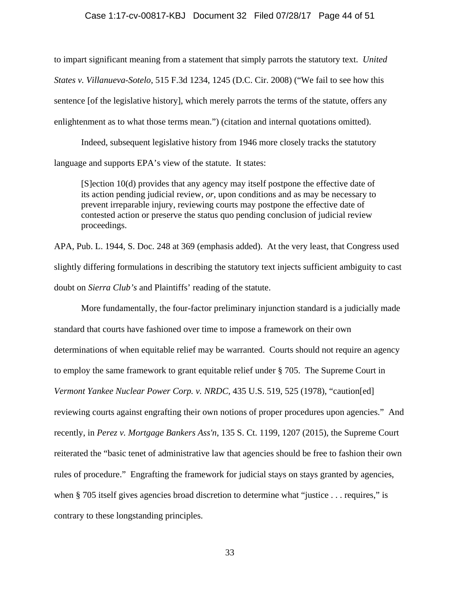### Case 1:17-cv-00817-KBJ Document 32 Filed 07/28/17 Page 44 of 51

to impart significant meaning from a statement that simply parrots the statutory text. *United States v. Villanueva-Sotelo*, 515 F.3d 1234, 1245 (D.C. Cir. 2008) ("We fail to see how this sentence [of the legislative history], which merely parrots the terms of the statute, offers any enlightenment as to what those terms mean.") (citation and internal quotations omitted).

Indeed, subsequent legislative history from 1946 more closely tracks the statutory language and supports EPA's view of the statute. It states:

[S]ection 10(d) provides that any agency may itself postpone the effective date of its action pending judicial review, *or*, upon conditions and as may be necessary to prevent irreparable injury, reviewing courts may postpone the effective date of contested action or preserve the status quo pending conclusion of judicial review proceedings.

APA, Pub. L. 1944, S. Doc. 248 at 369 (emphasis added). At the very least, that Congress used slightly differing formulations in describing the statutory text injects sufficient ambiguity to cast doubt on *Sierra Club's* and Plaintiffs' reading of the statute.

 More fundamentally, the four-factor preliminary injunction standard is a judicially made standard that courts have fashioned over time to impose a framework on their own determinations of when equitable relief may be warranted. Courts should not require an agency to employ the same framework to grant equitable relief under § 705. The Supreme Court in *Vermont Yankee Nuclear Power Corp. v. NRDC*, 435 U.S. 519, 525 (1978), "caution[ed] reviewing courts against engrafting their own notions of proper procedures upon agencies." And recently, in *Perez v. Mortgage Bankers Ass'n*, 135 S. Ct. 1199, 1207 (2015), the Supreme Court reiterated the "basic tenet of administrative law that agencies should be free to fashion their own rules of procedure." Engrafting the framework for judicial stays on stays granted by agencies, when § 705 itself gives agencies broad discretion to determine what "justice . . . requires," is contrary to these longstanding principles.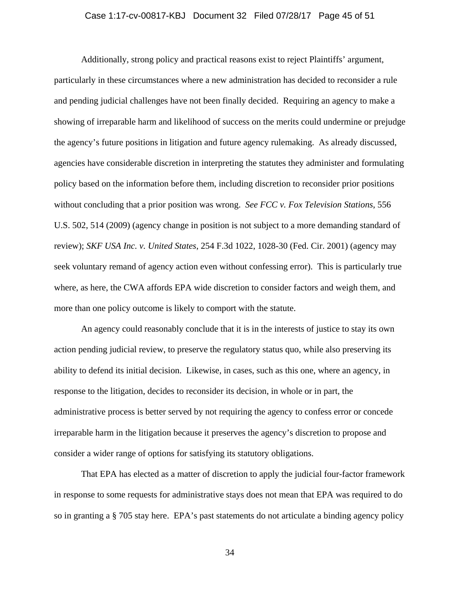#### Case 1:17-cv-00817-KBJ Document 32 Filed 07/28/17 Page 45 of 51

Additionally, strong policy and practical reasons exist to reject Plaintiffs' argument, particularly in these circumstances where a new administration has decided to reconsider a rule and pending judicial challenges have not been finally decided. Requiring an agency to make a showing of irreparable harm and likelihood of success on the merits could undermine or prejudge the agency's future positions in litigation and future agency rulemaking. As already discussed, agencies have considerable discretion in interpreting the statutes they administer and formulating policy based on the information before them, including discretion to reconsider prior positions without concluding that a prior position was wrong. *See FCC v. Fox Television Stations*, 556 U.S. 502, 514 (2009) (agency change in position is not subject to a more demanding standard of review); *SKF USA Inc. v. United States*, 254 F.3d 1022, 1028-30 (Fed. Cir. 2001) (agency may seek voluntary remand of agency action even without confessing error). This is particularly true where, as here, the CWA affords EPA wide discretion to consider factors and weigh them, and more than one policy outcome is likely to comport with the statute.

An agency could reasonably conclude that it is in the interests of justice to stay its own action pending judicial review, to preserve the regulatory status quo, while also preserving its ability to defend its initial decision. Likewise, in cases, such as this one, where an agency, in response to the litigation, decides to reconsider its decision, in whole or in part, the administrative process is better served by not requiring the agency to confess error or concede irreparable harm in the litigation because it preserves the agency's discretion to propose and consider a wider range of options for satisfying its statutory obligations.

That EPA has elected as a matter of discretion to apply the judicial four-factor framework in response to some requests for administrative stays does not mean that EPA was required to do so in granting a § 705 stay here. EPA's past statements do not articulate a binding agency policy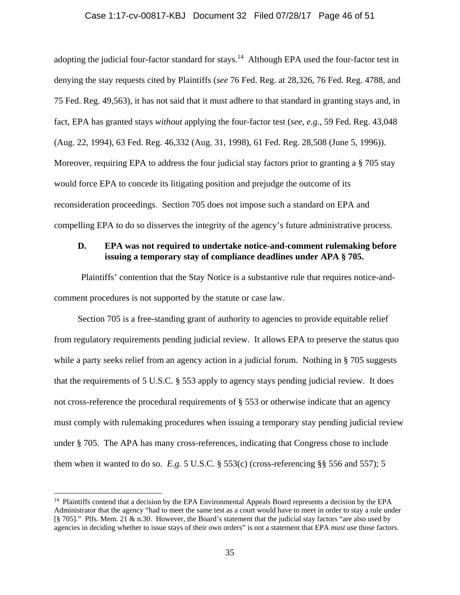#### Case 1:17-cv-00817-KBJ Document 32 Filed 07/28/17 Page 46 of 51

adopting the judicial four-factor standard for stays.<sup>14</sup> Although EPA used the four-factor test in denying the stay requests cited by Plaintiffs (*see* 76 Fed. Reg. at 28,326, 76 Fed. Reg. 4788, and 75 Fed. Reg. 49,563), it has not said that it must adhere to that standard in granting stays and, in fact, EPA has granted stays *without* applying the four-factor test (*see, e.g.,* 59 Fed. Reg. 43,048 (Aug. 22, 1994), 63 Fed. Reg. 46,332 (Aug. 31, 1998), 61 Fed. Reg. 28,508 (June 5, 1996)). Moreover, requiring EPA to address the four judicial stay factors prior to granting a § 705 stay would force EPA to concede its litigating position and prejudge the outcome of its reconsideration proceedings. Section 705 does not impose such a standard on EPA and compelling EPA to do so disserves the integrity of the agency's future administrative process.

# **D. EPA was not required to undertake notice-and-comment rulemaking before issuing a temporary stay of compliance deadlines under APA § 705.**

Plaintiffs' contention that the Stay Notice is a substantive rule that requires notice-andcomment procedures is not supported by the statute or case law.

Section 705 is a free-standing grant of authority to agencies to provide equitable relief from regulatory requirements pending judicial review. It allows EPA to preserve the status quo while a party seeks relief from an agency action in a judicial forum. Nothing in § 705 suggests that the requirements of 5 U.S.C. § 553 apply to agency stays pending judicial review. It does not cross-reference the procedural requirements of § 553 or otherwise indicate that an agency must comply with rulemaking procedures when issuing a temporary stay pending judicial review under § 705. The APA has many cross-references, indicating that Congress chose to include them when it wanted to do so.  $E.g. 5 \text{ U.S.C.}$  § 553(c) (cross-referencing §§ 556 and 557); 5

 $\overline{a}$ 

<sup>&</sup>lt;sup>14</sup> Plaintiffs contend that a decision by the EPA Environmental Appeals Board represents a decision by the EPA Administrator that the agency "had to meet the same test as a court would have to meet in order to stay a rule under [§ 705]." Plfs. Mem. 21 & n.30. However, the Board's statement that the judicial stay factors "are also used by agencies in deciding whether to issue stays of their own orders" is not a statement that EPA *must* use those factors.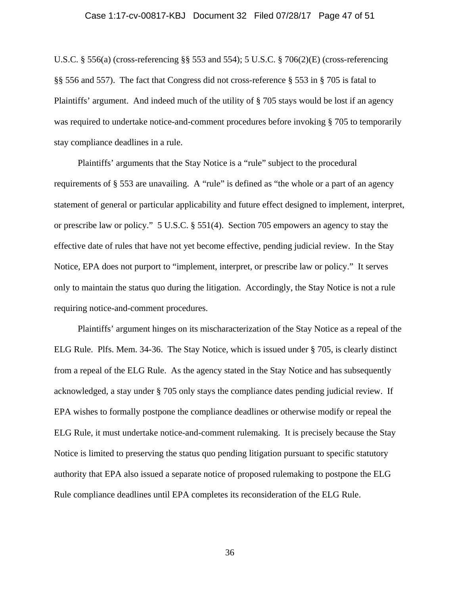#### Case 1:17-cv-00817-KBJ Document 32 Filed 07/28/17 Page 47 of 51

U.S.C. § 556(a) (cross-referencing §§ 553 and 554); 5 U.S.C. § 706(2)(E) (cross-referencing §§ 556 and 557). The fact that Congress did not cross-reference § 553 in § 705 is fatal to Plaintiffs' argument. And indeed much of the utility of § 705 stays would be lost if an agency was required to undertake notice-and-comment procedures before invoking § 705 to temporarily stay compliance deadlines in a rule.

Plaintiffs' arguments that the Stay Notice is a "rule" subject to the procedural requirements of § 553 are unavailing. A "rule" is defined as "the whole or a part of an agency statement of general or particular applicability and future effect designed to implement, interpret, or prescribe law or policy." 5 U.S.C. § 551(4). Section 705 empowers an agency to stay the effective date of rules that have not yet become effective, pending judicial review. In the Stay Notice, EPA does not purport to "implement, interpret, or prescribe law or policy." It serves only to maintain the status quo during the litigation. Accordingly, the Stay Notice is not a rule requiring notice-and-comment procedures.

Plaintiffs' argument hinges on its mischaracterization of the Stay Notice as a repeal of the ELG Rule. Plfs. Mem. 34-36. The Stay Notice, which is issued under § 705, is clearly distinct from a repeal of the ELG Rule. As the agency stated in the Stay Notice and has subsequently acknowledged, a stay under § 705 only stays the compliance dates pending judicial review. If EPA wishes to formally postpone the compliance deadlines or otherwise modify or repeal the ELG Rule, it must undertake notice-and-comment rulemaking. It is precisely because the Stay Notice is limited to preserving the status quo pending litigation pursuant to specific statutory authority that EPA also issued a separate notice of proposed rulemaking to postpone the ELG Rule compliance deadlines until EPA completes its reconsideration of the ELG Rule.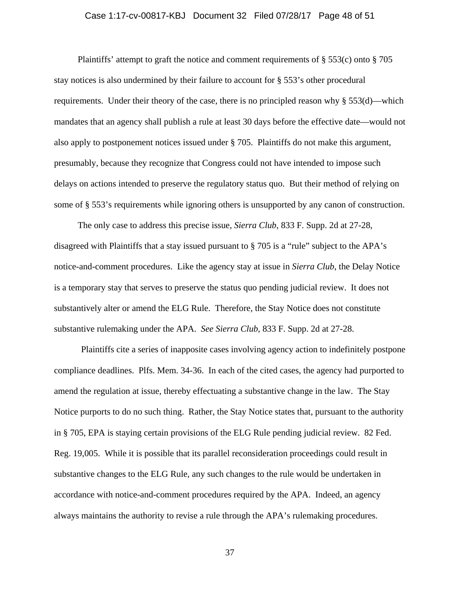#### Case 1:17-cv-00817-KBJ Document 32 Filed 07/28/17 Page 48 of 51

Plaintiffs' attempt to graft the notice and comment requirements of  $\S 553(c)$  onto  $\S 705$ stay notices is also undermined by their failure to account for § 553's other procedural requirements. Under their theory of the case, there is no principled reason why § 553(d)—which mandates that an agency shall publish a rule at least 30 days before the effective date—would not also apply to postponement notices issued under § 705. Plaintiffs do not make this argument, presumably, because they recognize that Congress could not have intended to impose such delays on actions intended to preserve the regulatory status quo. But their method of relying on some of § 553's requirements while ignoring others is unsupported by any canon of construction.

The only case to address this precise issue, *Sierra Club*, 833 F. Supp. 2d at 27-28, disagreed with Plaintiffs that a stay issued pursuant to § 705 is a "rule" subject to the APA's notice-and-comment procedures. Like the agency stay at issue in *Sierra Club*, the Delay Notice is a temporary stay that serves to preserve the status quo pending judicial review. It does not substantively alter or amend the ELG Rule. Therefore, the Stay Notice does not constitute substantive rulemaking under the APA. *See Sierra Club*, 833 F. Supp. 2d at 27-28.

Plaintiffs cite a series of inapposite cases involving agency action to indefinitely postpone compliance deadlines. Plfs. Mem. 34-36. In each of the cited cases, the agency had purported to amend the regulation at issue, thereby effectuating a substantive change in the law. The Stay Notice purports to do no such thing. Rather, the Stay Notice states that, pursuant to the authority in § 705, EPA is staying certain provisions of the ELG Rule pending judicial review. 82 Fed. Reg. 19,005. While it is possible that its parallel reconsideration proceedings could result in substantive changes to the ELG Rule, any such changes to the rule would be undertaken in accordance with notice-and-comment procedures required by the APA. Indeed, an agency always maintains the authority to revise a rule through the APA's rulemaking procedures.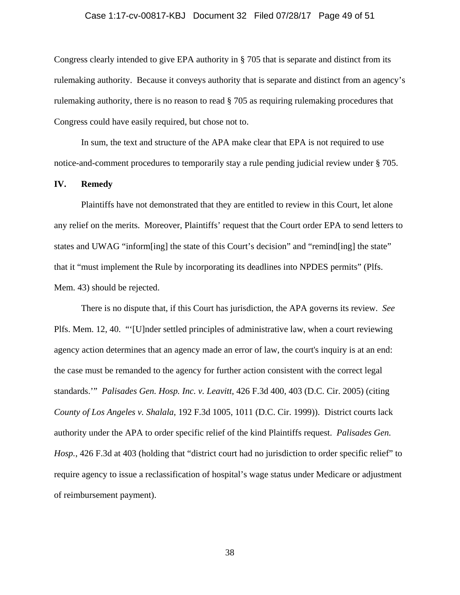#### Case 1:17-cv-00817-KBJ Document 32 Filed 07/28/17 Page 49 of 51

Congress clearly intended to give EPA authority in § 705 that is separate and distinct from its rulemaking authority. Because it conveys authority that is separate and distinct from an agency's rulemaking authority, there is no reason to read § 705 as requiring rulemaking procedures that Congress could have easily required, but chose not to.

In sum, the text and structure of the APA make clear that EPA is not required to use notice-and-comment procedures to temporarily stay a rule pending judicial review under § 705.

#### **IV. Remedy**

Plaintiffs have not demonstrated that they are entitled to review in this Court, let alone any relief on the merits. Moreover, Plaintiffs' request that the Court order EPA to send letters to states and UWAG "inform[ing] the state of this Court's decision" and "remind[ing] the state" that it "must implement the Rule by incorporating its deadlines into NPDES permits" (Plfs. Mem. 43) should be rejected.

There is no dispute that, if this Court has jurisdiction, the APA governs its review. *See* Plfs. Mem. 12, 40. "'[U]nder settled principles of administrative law, when a court reviewing agency action determines that an agency made an error of law, the court's inquiry is at an end: the case must be remanded to the agency for further action consistent with the correct legal standards.'" *Palisades Gen. Hosp. Inc. v. Leavitt*, 426 F.3d 400, 403 (D.C. Cir. 2005) (citing *County of Los Angeles v. Shalala*, 192 F.3d 1005, 1011 (D.C. Cir. 1999)). District courts lack authority under the APA to order specific relief of the kind Plaintiffs request. *Palisades Gen. Hosp.*, 426 F.3d at 403 (holding that "district court had no jurisdiction to order specific relief" to require agency to issue a reclassification of hospital's wage status under Medicare or adjustment of reimbursement payment).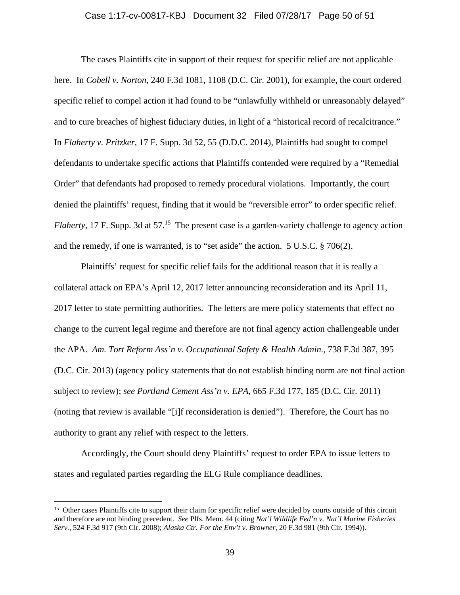#### Case 1:17-cv-00817-KBJ Document 32 Filed 07/28/17 Page 50 of 51

The cases Plaintiffs cite in support of their request for specific relief are not applicable here. In *Cobell v. Norton*, 240 F.3d 1081, 1108 (D.C. Cir. 2001), for example, the court ordered specific relief to compel action it had found to be "unlawfully withheld or unreasonably delayed" and to cure breaches of highest fiduciary duties, in light of a "historical record of recalcitrance." In *Flaherty v. Pritzker*, 17 F. Supp. 3d 52, 55 (D.D.C. 2014), Plaintiffs had sought to compel defendants to undertake specific actions that Plaintiffs contended were required by a "Remedial Order" that defendants had proposed to remedy procedural violations. Importantly, the court denied the plaintiffs' request, finding that it would be "reversible error" to order specific relief. *Flaherty*, 17 F. Supp. 3d at 57.<sup>15</sup> The present case is a garden-variety challenge to agency action and the remedy, if one is warranted, is to "set aside" the action. 5 U.S.C. § 706(2).

Plaintiffs' request for specific relief fails for the additional reason that it is really a collateral attack on EPA's April 12, 2017 letter announcing reconsideration and its April 11, 2017 letter to state permitting authorities. The letters are mere policy statements that effect no change to the current legal regime and therefore are not final agency action challengeable under the APA. *Am. Tort Reform Ass'n v. Occupational Safety & Health Admin.*, 738 F.3d 387, 395 (D.C. Cir. 2013) (agency policy statements that do not establish binding norm are not final action subject to review); *see Portland Cement Ass'n v. EPA*, 665 F.3d 177, 185 (D.C. Cir. 2011) (noting that review is available "[i]f reconsideration is denied"). Therefore, the Court has no authority to grant any relief with respect to the letters.

Accordingly, the Court should deny Plaintiffs' request to order EPA to issue letters to states and regulated parties regarding the ELG Rule compliance deadlines.

 $\overline{a}$ 

<sup>&</sup>lt;sup>15</sup> Other cases Plaintiffs cite to support their claim for specific relief were decided by courts outside of this circuit and therefore are not binding precedent. *See* Plfs. Mem. 44 (citing *Nat'l Wildlife Fed'n v. Nat'l Marine Fisheries Serv.*, 524 F.3d 917 (9th Cir. 2008); *Alaska Ctr. For the Env't v. Browner*, 20 F.3d 981 (9th Cir. 1994)).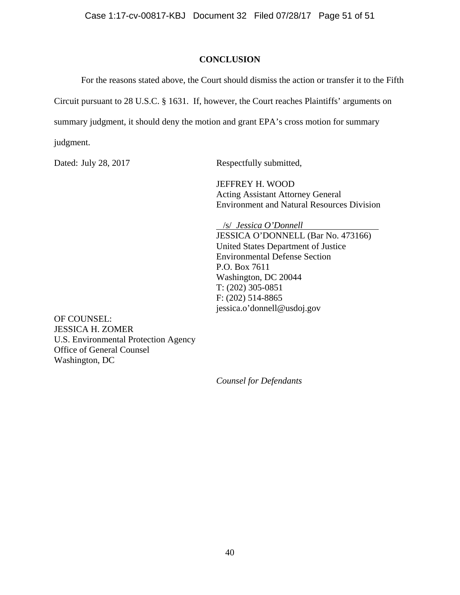# **CONCLUSION**

For the reasons stated above, the Court should dismiss the action or transfer it to the Fifth Circuit pursuant to 28 U.S.C. § 1631. If, however, the Court reaches Plaintiffs' arguments on summary judgment, it should deny the motion and grant EPA's cross motion for summary judgment.

Dated: July 28, 2017 Respectfully submitted,

 JEFFREY H. WOOD Acting Assistant Attorney General Environment and Natural Resources Division

 /s/ *Jessica O'Donnell*  JESSICA O'DONNELL (Bar No. 473166) United States Department of Justice Environmental Defense Section P.O. Box 7611 Washington, DC 20044 T: (202) 305-0851 F: (202) 514-8865 jessica.o'donnell@usdoj.gov

OF COUNSEL: JESSICA H. ZOMER U.S. Environmental Protection Agency Office of General Counsel Washington, DC

*Counsel for Defendants*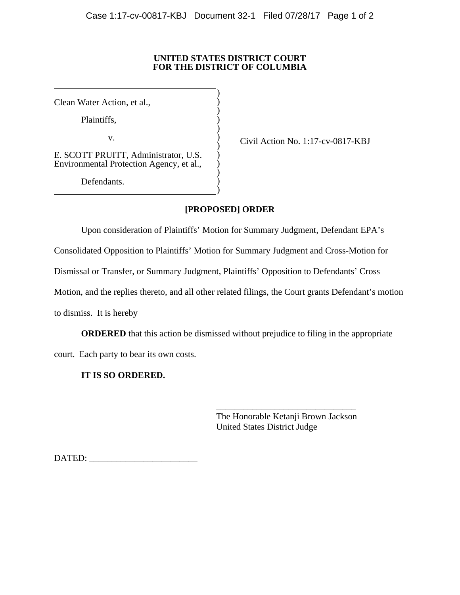### **UNITED STATES DISTRICT COURT FOR THE DISTRICT OF COLUMBIA**

)  $\overline{)}$  $\overline{)}$  $\overline{)}$  $\overline{)}$  $\overline{)}$  $\overline{)}$ ) )  $\overline{)}$  $\overline{)}$ )

Clean Water Action, et al.,

 $\overline{a}$ 

l

Plaintiffs,

v.

E. SCOTT PRUITT, Administrator, U.S. Environmental Protection Agency, et al.,

Defendants.

Civil Action No. 1:17-cv-0817-KBJ

# **[PROPOSED] ORDER**

Upon consideration of Plaintiffs' Motion for Summary Judgment, Defendant EPA's

Consolidated Opposition to Plaintiffs' Motion for Summary Judgment and Cross-Motion for

Dismissal or Transfer, or Summary Judgment, Plaintiffs' Opposition to Defendants' Cross

Motion, and the replies thereto, and all other related filings, the Court grants Defendant's motion

to dismiss. It is hereby

**ORDERED** that this action be dismissed without prejudice to filing in the appropriate

 $\frac{1}{\sqrt{2}}$  ,  $\frac{1}{\sqrt{2}}$  ,  $\frac{1}{\sqrt{2}}$  ,  $\frac{1}{\sqrt{2}}$  ,  $\frac{1}{\sqrt{2}}$  ,  $\frac{1}{\sqrt{2}}$  ,  $\frac{1}{\sqrt{2}}$  ,  $\frac{1}{\sqrt{2}}$  ,  $\frac{1}{\sqrt{2}}$  ,  $\frac{1}{\sqrt{2}}$  ,  $\frac{1}{\sqrt{2}}$  ,  $\frac{1}{\sqrt{2}}$  ,  $\frac{1}{\sqrt{2}}$  ,  $\frac{1}{\sqrt{2}}$  ,  $\frac{1}{\sqrt{2}}$ 

court. Each party to bear its own costs.

# **IT IS SO ORDERED.**

 The Honorable Ketanji Brown Jackson United States District Judge

DATED: